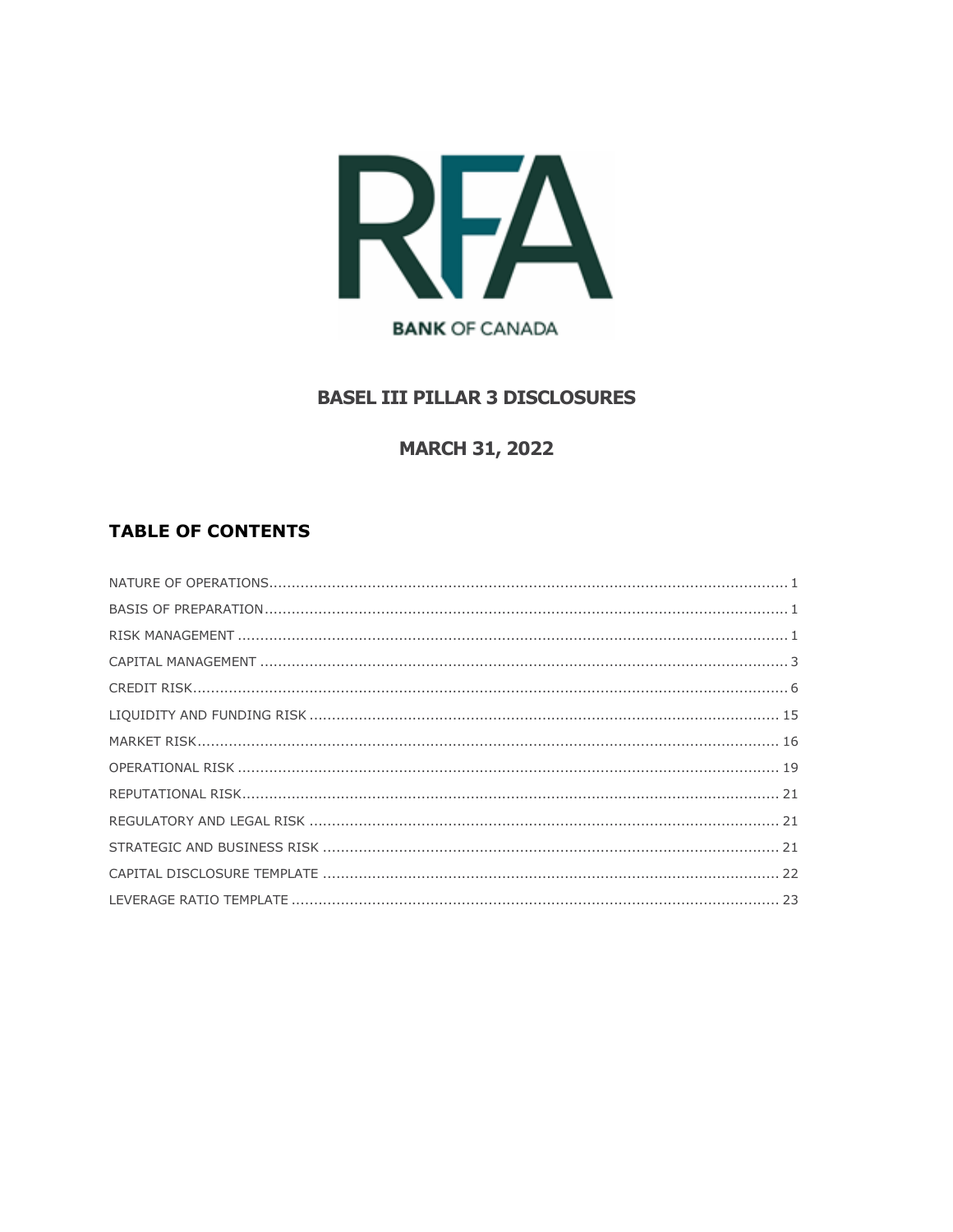

# **BASEL III PILLAR 3 DISCLOSURES**

# **MARCH 31, 2022**

# **TABLE OF CONTENTS**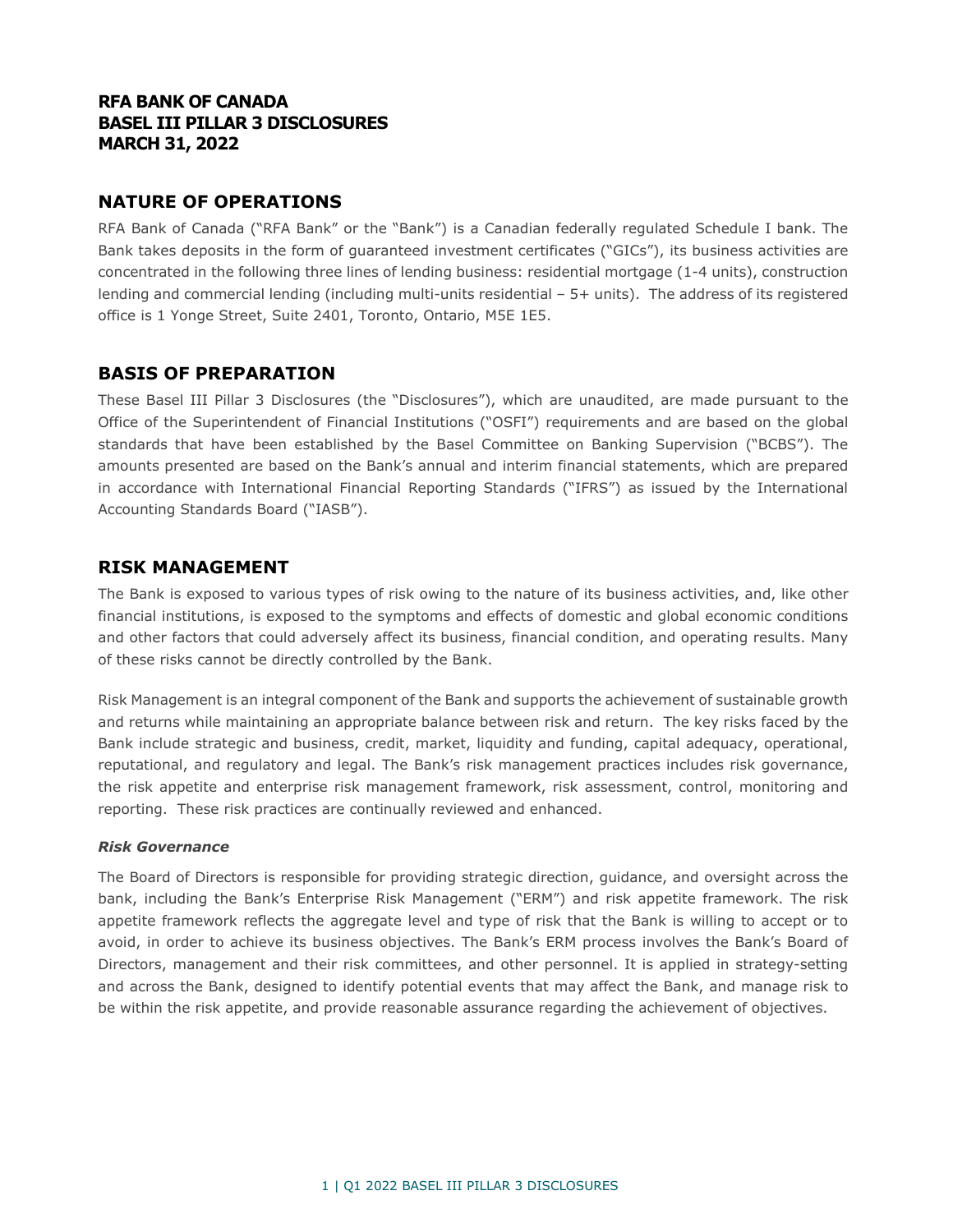### **RFA BANK OF CANADA BASEL III PILLAR 3 DISCLOSURES MARCH 31, 2022**

### <span id="page-1-0"></span>**NATURE OF OPERATIONS**

RFA Bank of Canada ("RFA Bank" or the "Bank") is a Canadian federally regulated Schedule I bank. The Bank takes deposits in the form of guaranteed investment certificates ("GICs"), its business activities are concentrated in the following three lines of lending business: residential mortgage (1-4 units), construction lending and commercial lending (including multi-units residential – 5+ units). The address of its registered office is 1 Yonge Street, Suite 2401, Toronto, Ontario, M5E 1E5.

### <span id="page-1-1"></span>**BASIS OF PREPARATION**

These Basel III Pillar 3 Disclosures (the "Disclosures"), which are unaudited, are made pursuant to the Office of the Superintendent of Financial Institutions ("OSFI") requirements and are based on the global standards that have been established by the Basel Committee on Banking Supervision ("BCBS"). The amounts presented are based on the Bank's annual and interim financial statements, which are prepared in accordance with International Financial Reporting Standards ("IFRS") as issued by the International Accounting Standards Board ("IASB").

### <span id="page-1-2"></span>**RISK MANAGEMENT**

The Bank is exposed to various types of risk owing to the nature of its business activities, and, like other financial institutions, is exposed to the symptoms and effects of domestic and global economic conditions and other factors that could adversely affect its business, financial condition, and operating results. Many of these risks cannot be directly controlled by the Bank.

Risk Management is an integral component of the Bank and supports the achievement of sustainable growth and returns while maintaining an appropriate balance between risk and return. The key risks faced by the Bank include strategic and business, credit, market, liquidity and funding, capital adequacy, operational, reputational, and regulatory and legal. The Bank's risk management practices includes risk governance, the risk appetite and enterprise risk management framework, risk assessment, control, monitoring and reporting. These risk practices are continually reviewed and enhanced.

#### *Risk Governance*

The Board of Directors is responsible for providing strategic direction, guidance, and oversight across the bank, including the Bank's Enterprise Risk Management ("ERM") and risk appetite framework. The risk appetite framework reflects the aggregate level and type of risk that the Bank is willing to accept or to avoid, in order to achieve its business objectives. The Bank's ERM process involves the Bank's Board of Directors, management and their risk committees, and other personnel. It is applied in strategy-setting and across the Bank, designed to identify potential events that may affect the Bank, and manage risk to be within the risk appetite, and provide reasonable assurance regarding the achievement of objectives.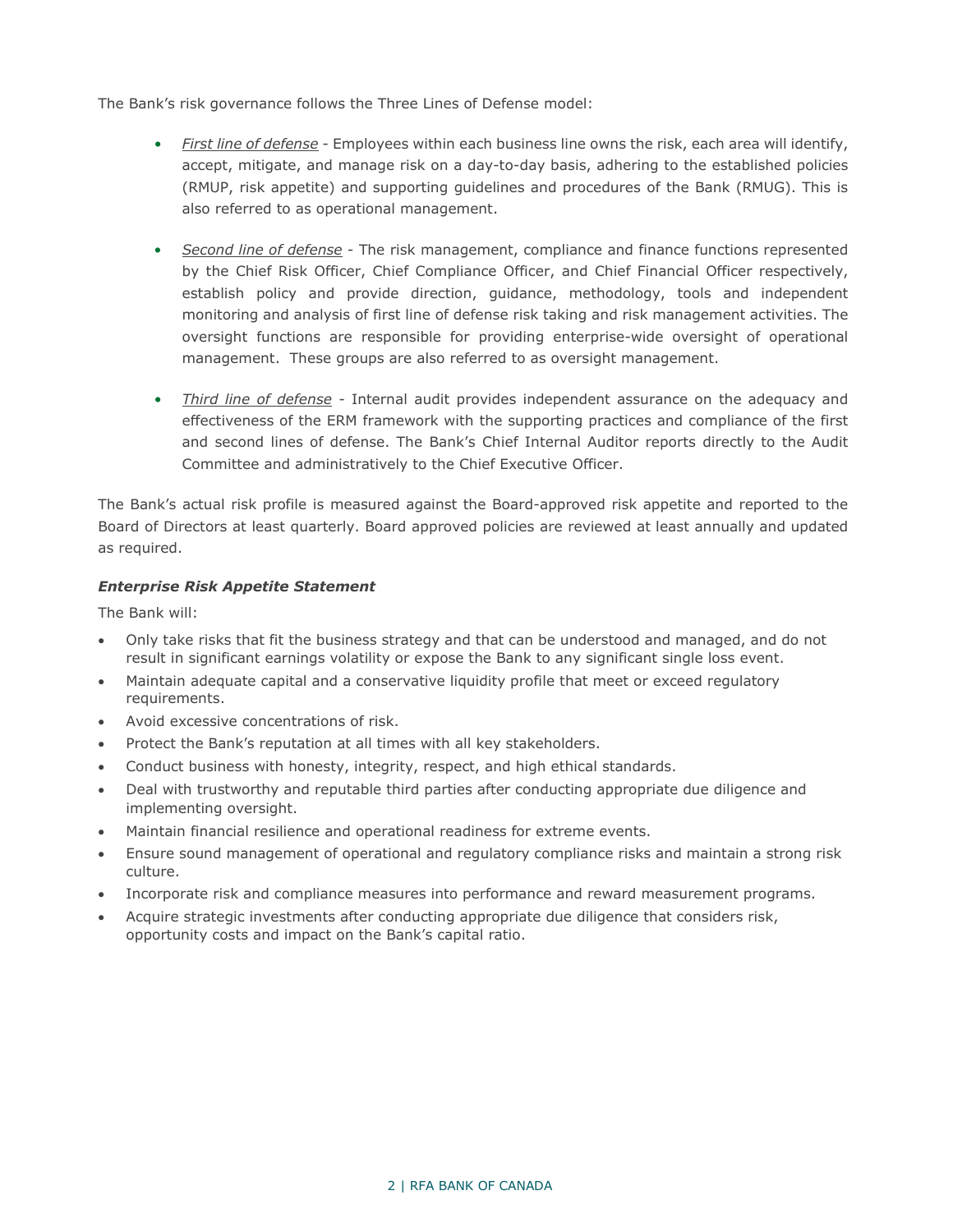The Bank's risk governance follows the Three Lines of Defense model:

- *First line of defense* Employees within each business line owns the risk, each area will identify, accept, mitigate, and manage risk on a day-to-day basis, adhering to the established policies (RMUP, risk appetite) and supporting guidelines and procedures of the Bank (RMUG). This is also referred to as operational management.
- *Second line of defense* The risk management, compliance and finance functions represented by the Chief Risk Officer, Chief Compliance Officer, and Chief Financial Officer respectively, establish policy and provide direction, guidance, methodology, tools and independent monitoring and analysis of first line of defense risk taking and risk management activities. The oversight functions are responsible for providing enterprise-wide oversight of operational management. These groups are also referred to as oversight management.
- *Third line of defense* Internal audit provides independent assurance on the adequacy and effectiveness of the ERM framework with the supporting practices and compliance of the first and second lines of defense. The Bank's Chief Internal Auditor reports directly to the Audit Committee and administratively to the Chief Executive Officer.

The Bank's actual risk profile is measured against the Board-approved risk appetite and reported to the Board of Directors at least quarterly. Board approved policies are reviewed at least annually and updated as required.

### *Enterprise Risk Appetite Statement*

The Bank will:

- Only take risks that fit the business strategy and that can be understood and managed, and do not result in significant earnings volatility or expose the Bank to any significant single loss event.
- Maintain adequate capital and a conservative liquidity profile that meet or exceed regulatory requirements.
- Avoid excessive concentrations of risk.
- Protect the Bank's reputation at all times with all key stakeholders.
- Conduct business with honesty, integrity, respect, and high ethical standards.
- Deal with trustworthy and reputable third parties after conducting appropriate due diligence and implementing oversight.
- Maintain financial resilience and operational readiness for extreme events.
- Ensure sound management of operational and regulatory compliance risks and maintain a strong risk culture.
- Incorporate risk and compliance measures into performance and reward measurement programs.
- <span id="page-2-0"></span>• Acquire strategic investments after conducting appropriate due diligence that considers risk, opportunity costs and impact on the Bank's capital ratio.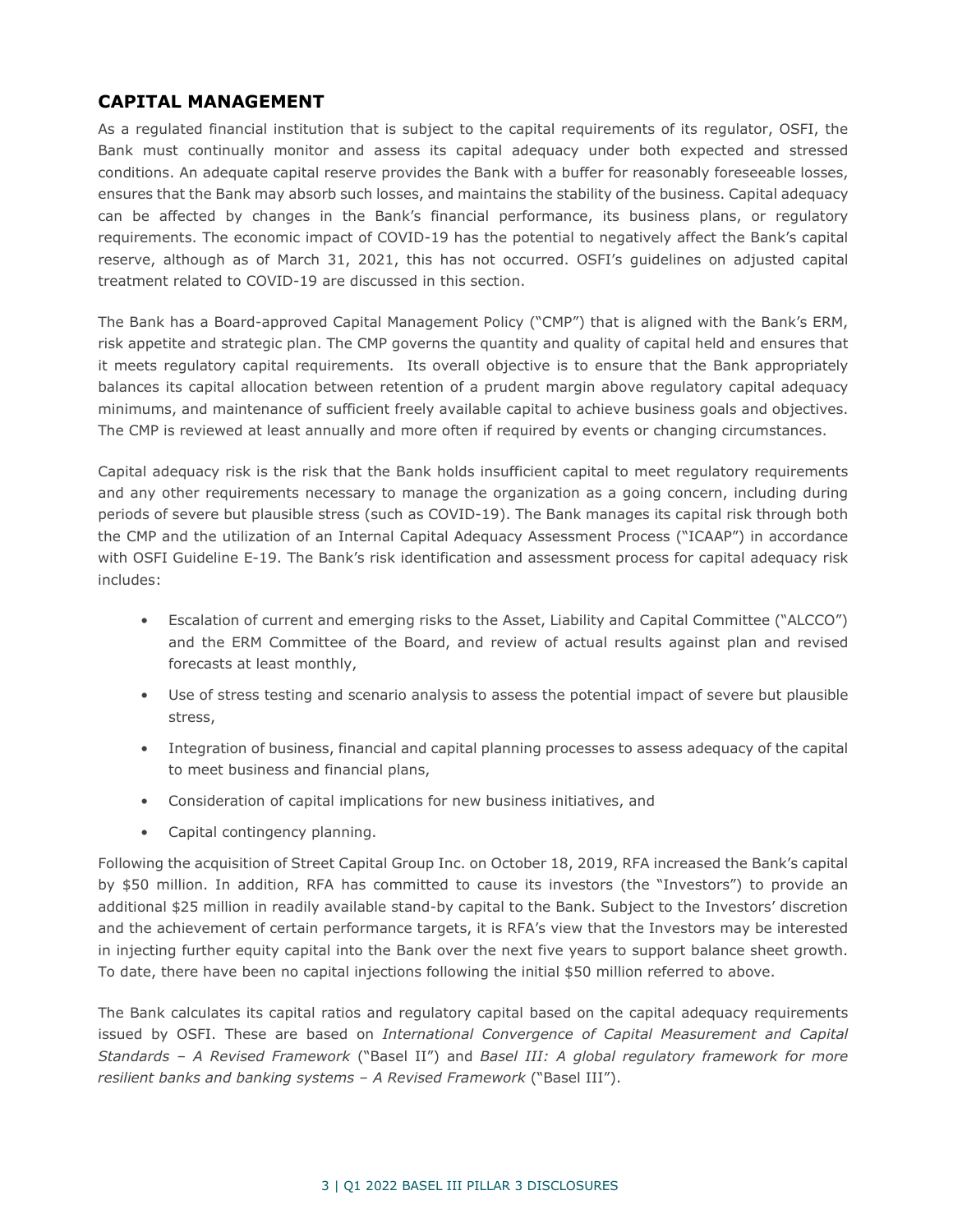### **CAPITAL MANAGEMENT**

As a regulated financial institution that is subject to the capital requirements of its regulator, OSFI, the Bank must continually monitor and assess its capital adequacy under both expected and stressed conditions. An adequate capital reserve provides the Bank with a buffer for reasonably foreseeable losses, ensures that the Bank may absorb such losses, and maintains the stability of the business. Capital adequacy can be affected by changes in the Bank's financial performance, its business plans, or regulatory requirements. The economic impact of COVID-19 has the potential to negatively affect the Bank's capital reserve, although as of March 31, 2021, this has not occurred. OSFI's guidelines on adjusted capital treatment related to COVID-19 are discussed in this section.

The Bank has a Board-approved Capital Management Policy ("CMP") that is aligned with the Bank's ERM, risk appetite and strategic plan. The CMP governs the quantity and quality of capital held and ensures that it meets regulatory capital requirements. Its overall objective is to ensure that the Bank appropriately balances its capital allocation between retention of a prudent margin above regulatory capital adequacy minimums, and maintenance of sufficient freely available capital to achieve business goals and objectives. The CMP is reviewed at least annually and more often if required by events or changing circumstances.

Capital adequacy risk is the risk that the Bank holds insufficient capital to meet regulatory requirements and any other requirements necessary to manage the organization as a going concern, including during periods of severe but plausible stress (such as COVID-19). The Bank manages its capital risk through both the CMP and the utilization of an Internal Capital Adequacy Assessment Process ("ICAAP") in accordance with OSFI Guideline E-19. The Bank's risk identification and assessment process for capital adequacy risk includes:

- Escalation of current and emerging risks to the Asset, Liability and Capital Committee ("ALCCO") and the ERM Committee of the Board, and review of actual results against plan and revised forecasts at least monthly,
- Use of stress testing and scenario analysis to assess the potential impact of severe but plausible stress,
- Integration of business, financial and capital planning processes to assess adequacy of the capital to meet business and financial plans,
- Consideration of capital implications for new business initiatives, and
- Capital contingency planning.

Following the acquisition of Street Capital Group Inc. on October 18, 2019, RFA increased the Bank's capital by \$50 million. In addition, RFA has committed to cause its investors (the "Investors") to provide an additional \$25 million in readily available stand-by capital to the Bank. Subject to the Investors' discretion and the achievement of certain performance targets, it is RFA's view that the Investors may be interested in injecting further equity capital into the Bank over the next five years to support balance sheet growth. To date, there have been no capital injections following the initial \$50 million referred to above.

The Bank calculates its capital ratios and regulatory capital based on the capital adequacy requirements issued by OSFI. These are based on *International Convergence of Capital Measurement and Capital Standards – A Revised Framework* ("Basel II") and *Basel III: A global regulatory framework for more resilient banks and banking systems – A Revised Framework* ("Basel III").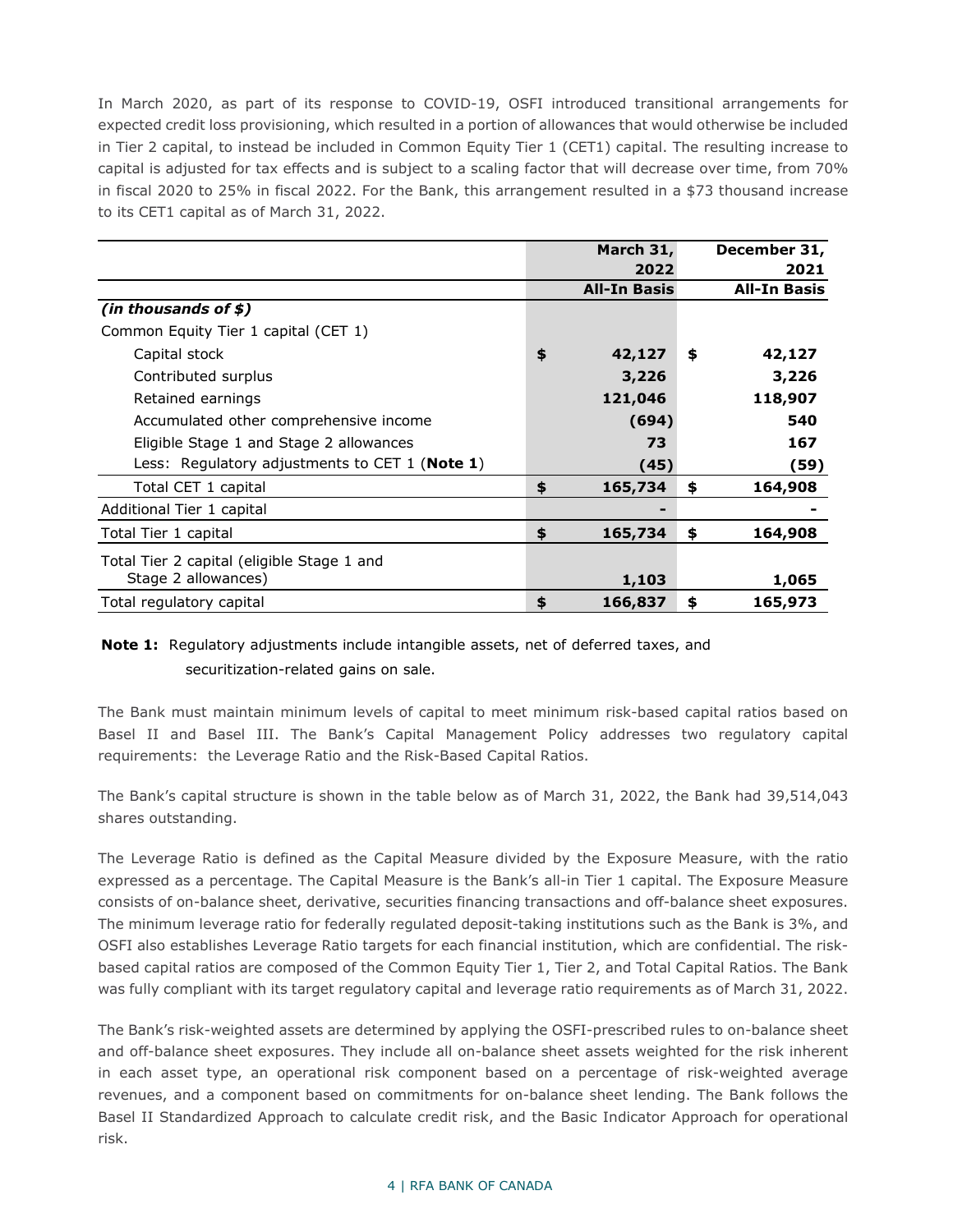In March 2020, as part of its response to COVID-19, OSFI introduced transitional arrangements for expected credit loss provisioning, which resulted in a portion of allowances that would otherwise be included in Tier 2 capital, to instead be included in Common Equity Tier 1 (CET1) capital. The resulting increase to capital is adjusted for tax effects and is subject to a scaling factor that will decrease over time, from 70% in fiscal 2020 to 25% in fiscal 2022. For the Bank, this arrangement resulted in a \$73 thousand increase to its CET1 capital as of March 31, 2022.

|                                                         | March 31,           | December 31,        |
|---------------------------------------------------------|---------------------|---------------------|
|                                                         | 2022                | 2021                |
|                                                         | <b>All-In Basis</b> | <b>All-In Basis</b> |
| (in thousands of $$$ )                                  |                     |                     |
| Common Equity Tier 1 capital (CET 1)                    |                     |                     |
| Capital stock                                           | \$<br>42,127        | \$<br>42,127        |
| Contributed surplus                                     | 3,226               | 3,226               |
| Retained earnings                                       | 121,046             | 118,907             |
| Accumulated other comprehensive income                  | (694)               | 540                 |
| Eligible Stage 1 and Stage 2 allowances                 | 73                  | 167                 |
| Less: Regulatory adjustments to CET 1 ( <b>Note 1</b> ) | (45)                | (59)                |
| Total CET 1 capital                                     | \$<br>165,734       | \$<br>164,908       |
| Additional Tier 1 capital                               |                     |                     |
| Total Tier 1 capital                                    | \$<br>165,734       | \$<br>164,908       |
| Total Tier 2 capital (eligible Stage 1 and              |                     |                     |
| Stage 2 allowances)                                     | 1,103               | 1,065               |
| Total regulatory capital                                | \$<br>166,837       | \$<br>165,973       |

### **Note 1:** Regulatory adjustments include intangible assets, net of deferred taxes, and securitization-related gains on sale.

The Bank must maintain minimum levels of capital to meet minimum risk-based capital ratios based on Basel II and Basel III. The Bank's Capital Management Policy addresses two regulatory capital requirements: the Leverage Ratio and the Risk-Based Capital Ratios.

The Bank's capital structure is shown in the table below as of March 31, 2022, the Bank had 39,514,043 shares outstanding.

The Leverage Ratio is defined as the Capital Measure divided by the Exposure Measure, with the ratio expressed as a percentage. The Capital Measure is the Bank's all-in Tier 1 capital. The Exposure Measure consists of on-balance sheet, derivative, securities financing transactions and off-balance sheet exposures. The minimum leverage ratio for federally regulated deposit-taking institutions such as the Bank is 3%, and OSFI also establishes Leverage Ratio targets for each financial institution, which are confidential. The riskbased capital ratios are composed of the Common Equity Tier 1, Tier 2, and Total Capital Ratios. The Bank was fully compliant with its target regulatory capital and leverage ratio requirements as of March 31, 2022.

The Bank's risk-weighted assets are determined by applying the OSFI-prescribed rules to on-balance sheet and off-balance sheet exposures. They include all on-balance sheet assets weighted for the risk inherent in each asset type, an operational risk component based on a percentage of risk-weighted average revenues, and a component based on commitments for on-balance sheet lending. The Bank follows the Basel II Standardized Approach to calculate credit risk, and the Basic Indicator Approach for operational risk.

#### 4 | RFA BANK OF CANADA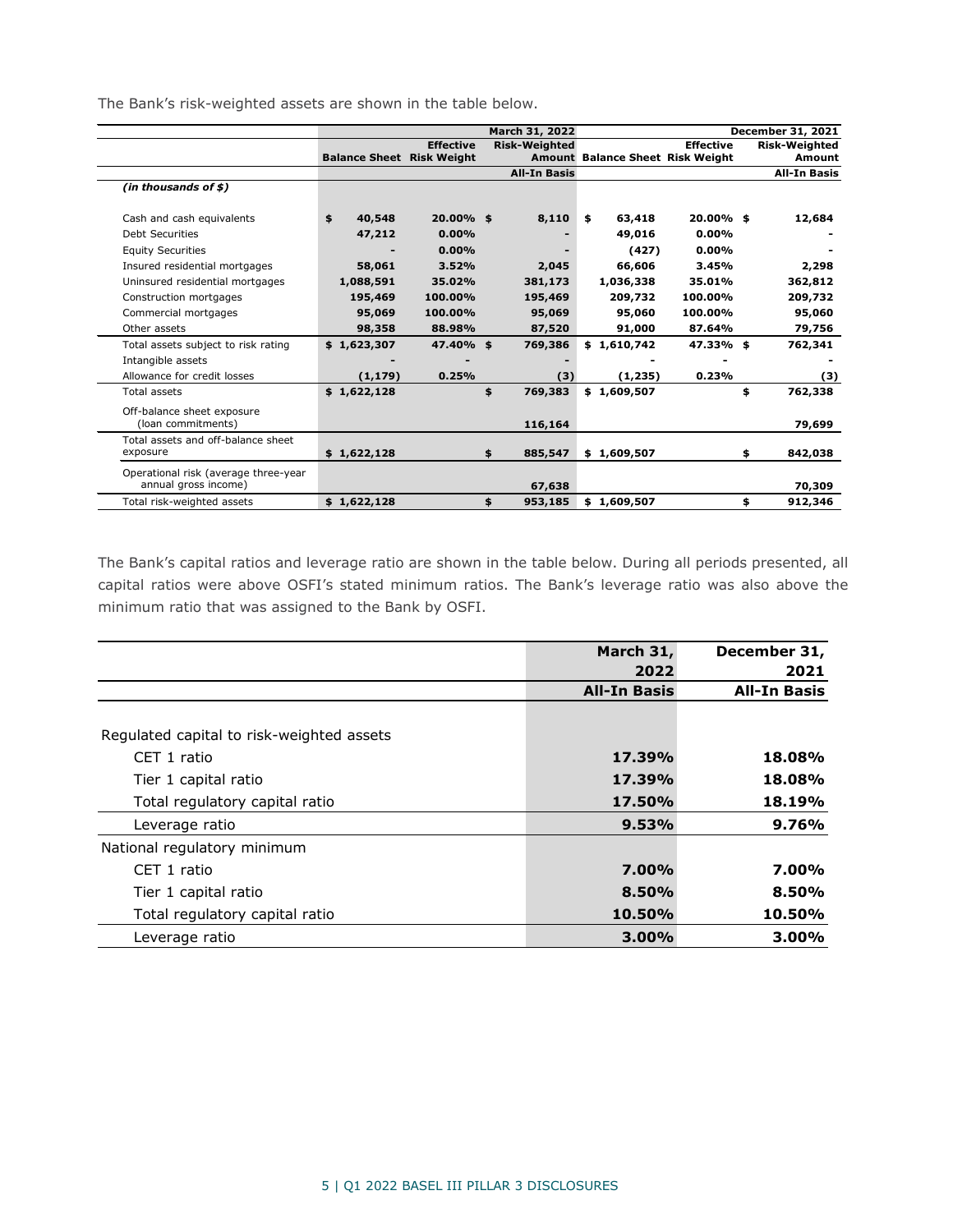The Bank's risk-weighted assets are shown in the table below.

|                                      |                                  |                  | March 31, 2022 | December 31, 2021    |    |             |                                  |    |                      |
|--------------------------------------|----------------------------------|------------------|----------------|----------------------|----|-------------|----------------------------------|----|----------------------|
|                                      |                                  | <b>Effective</b> |                | <b>Risk-Weighted</b> |    |             | <b>Effective</b>                 |    | <b>Risk-Weighted</b> |
|                                      | <b>Balance Sheet Risk Weight</b> |                  |                |                      |    |             | Amount Balance Sheet Risk Weight |    | Amount               |
|                                      |                                  |                  |                | <b>All-In Basis</b>  |    |             |                                  |    | <b>All-In Basis</b>  |
| (in thousands of \$)                 |                                  |                  |                |                      |    |             |                                  |    |                      |
|                                      |                                  |                  |                |                      |    |             |                                  |    |                      |
| Cash and cash equivalents            | \$<br>40,548                     | 20.00% \$        |                | 8,110                | \$ | 63,418      | 20.00% \$                        |    | 12,684               |
| <b>Debt Securities</b>               | 47,212                           | 0.00%            |                |                      |    | 49,016      | 0.00%                            |    |                      |
| <b>Equity Securities</b>             |                                  | 0.00%            |                |                      |    | (427)       | 0.00%                            |    |                      |
| Insured residential mortgages        | 58,061                           | 3.52%            |                | 2,045                |    | 66,606      | 3.45%                            |    | 2,298                |
| Uninsured residential mortgages      | 1,088,591                        | 35.02%           |                | 381,173              |    | 1,036,338   | 35.01%                           |    | 362,812              |
| Construction mortgages               | 195,469                          | 100.00%          |                | 195,469              |    | 209,732     | 100.00%                          |    | 209,732              |
| Commercial mortgages                 | 95,069                           | 100.00%          |                | 95,069               |    | 95,060      | 100.00%                          |    | 95,060               |
| Other assets                         | 98,358                           | 88.98%           |                | 87,520               |    | 91,000      | 87.64%                           |    | 79,756               |
| Total assets subject to risk rating  | \$1,623,307                      | 47.40% \$        |                | 769,386              |    | \$1,610,742 | 47.33%\$                         |    | 762,341              |
| Intangible assets                    |                                  |                  |                |                      |    |             |                                  |    |                      |
| Allowance for credit losses          | (1, 179)                         | 0.25%            |                | (3)                  |    | (1, 235)    | 0.23%                            |    | (3)                  |
| Total assets                         | \$1,622,128                      |                  | \$             | 769,383              |    | \$1,609,507 |                                  | \$ | 762,338              |
| Off-balance sheet exposure           |                                  |                  |                |                      |    |             |                                  |    |                      |
| (loan commitments)                   |                                  |                  |                | 116,164              |    |             |                                  |    | 79,699               |
| Total assets and off-balance sheet   |                                  |                  |                |                      |    |             |                                  |    |                      |
| exposure                             | \$1,622,128                      |                  | \$             | 885,547              |    | \$1,609,507 |                                  | \$ | 842,038              |
| Operational risk (average three-year |                                  |                  |                |                      |    |             |                                  |    |                      |
| annual gross income)                 |                                  |                  |                | 67,638               |    |             |                                  |    | 70,309               |
| Total risk-weighted assets           | \$1,622,128                      |                  | \$             | 953,185              | \$ | 1,609,507   |                                  | \$ | 912,346              |

The Bank's capital ratios and leverage ratio are shown in the table below. During all periods presented, all capital ratios were above OSFI's stated minimum ratios. The Bank's leverage ratio was also above the minimum ratio that was assigned to the Bank by OSFI.

<span id="page-5-0"></span>

|                                           | March 31,           | December 31,        |
|-------------------------------------------|---------------------|---------------------|
|                                           | 2022                | 2021                |
|                                           | <b>All-In Basis</b> | <b>All-In Basis</b> |
|                                           |                     |                     |
| Regulated capital to risk-weighted assets |                     |                     |
| CET 1 ratio                               | 17.39%              | 18.08%              |
| Tier 1 capital ratio                      | 17.39%              | 18.08%              |
| Total regulatory capital ratio            | <b>17.50%</b>       | 18.19%              |
| Leverage ratio                            | 9.53%               | 9.76%               |
| National regulatory minimum               |                     |                     |
| CFT 1 ratio                               | $7.00\%$            | 7.00%               |
| Tier 1 capital ratio                      | 8.50%               | 8.50%               |
| Total regulatory capital ratio            | 10.50%              | 10.50%              |
| Leverage ratio                            | 3.00%               | 3.00%               |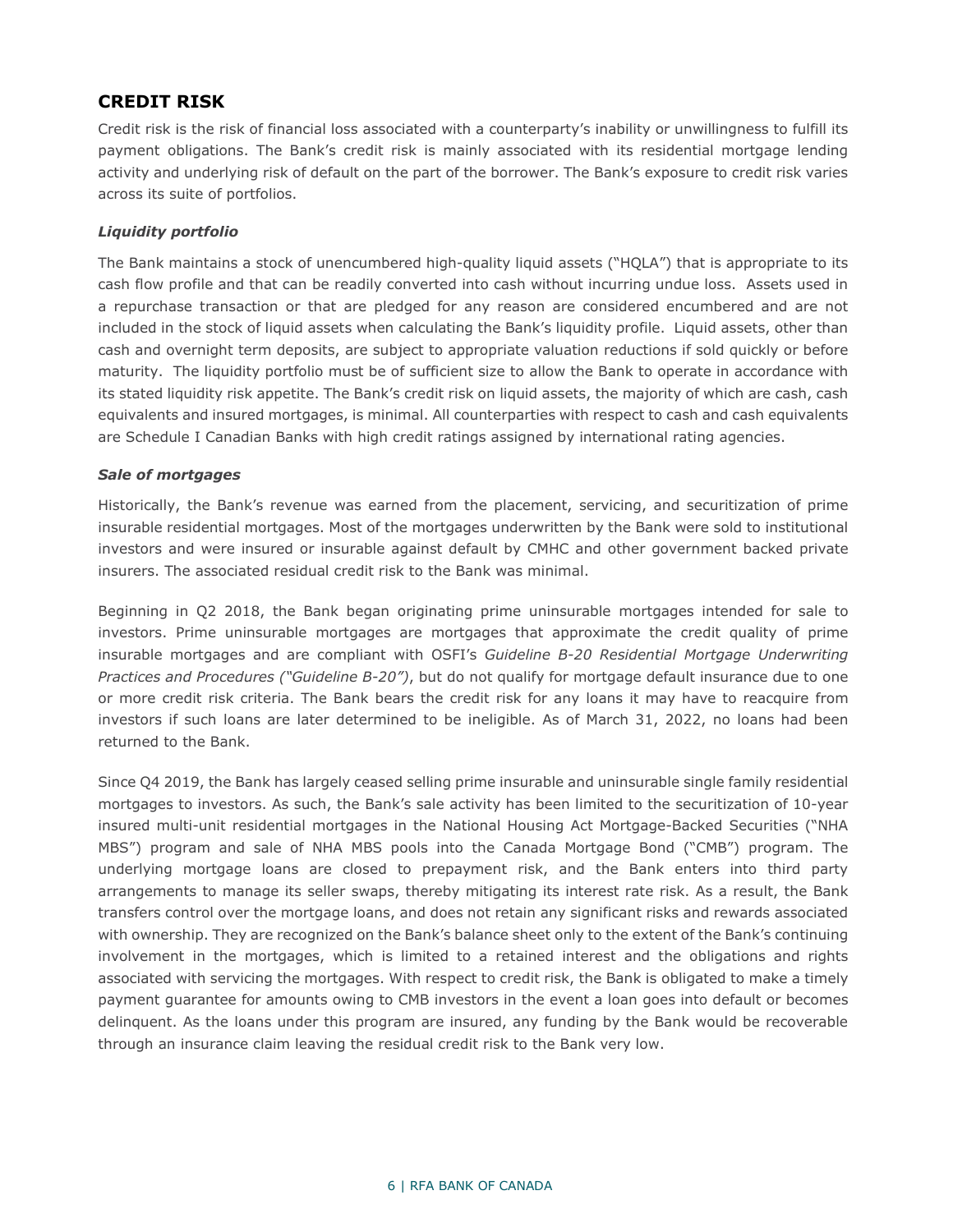### **CREDIT RISK**

Credit risk is the risk of financial loss associated with a counterparty's inability or unwillingness to fulfill its payment obligations. The Bank's credit risk is mainly associated with its residential mortgage lending activity and underlying risk of default on the part of the borrower. The Bank's exposure to credit risk varies across its suite of portfolios.

### *Liquidity portfolio*

The Bank maintains a stock of unencumbered high-quality liquid assets ("HQLA") that is appropriate to its cash flow profile and that can be readily converted into cash without incurring undue loss. Assets used in a repurchase transaction or that are pledged for any reason are considered encumbered and are not included in the stock of liquid assets when calculating the Bank's liquidity profile. Liquid assets, other than cash and overnight term deposits, are subject to appropriate valuation reductions if sold quickly or before maturity. The liquidity portfolio must be of sufficient size to allow the Bank to operate in accordance with its stated liquidity risk appetite. The Bank's credit risk on liquid assets, the majority of which are cash, cash equivalents and insured mortgages, is minimal. All counterparties with respect to cash and cash equivalents are Schedule I Canadian Banks with high credit ratings assigned by international rating agencies.

#### *Sale of mortgages*

Historically, the Bank's revenue was earned from the placement, servicing, and securitization of prime insurable residential mortgages. Most of the mortgages underwritten by the Bank were sold to institutional investors and were insured or insurable against default by CMHC and other government backed private insurers. The associated residual credit risk to the Bank was minimal.

Beginning in Q2 2018, the Bank began originating prime uninsurable mortgages intended for sale to investors. Prime uninsurable mortgages are mortgages that approximate the credit quality of prime insurable mortgages and are compliant with OSFI's *Guideline B-20 Residential Mortgage Underwriting Practices and Procedures ("Guideline B-20")*, but do not qualify for mortgage default insurance due to one or more credit risk criteria. The Bank bears the credit risk for any loans it may have to reacquire from investors if such loans are later determined to be ineligible. As of March 31, 2022, no loans had been returned to the Bank.

Since Q4 2019, the Bank has largely ceased selling prime insurable and uninsurable single family residential mortgages to investors. As such, the Bank's sale activity has been limited to the securitization of 10-year insured multi-unit residential mortgages in the National Housing Act Mortgage-Backed Securities ("NHA MBS") program and sale of NHA MBS pools into the Canada Mortgage Bond ("CMB") program. The underlying mortgage loans are closed to prepayment risk, and the Bank enters into third party arrangements to manage its seller swaps, thereby mitigating its interest rate risk. As a result, the Bank transfers control over the mortgage loans, and does not retain any significant risks and rewards associated with ownership. They are recognized on the Bank's balance sheet only to the extent of the Bank's continuing involvement in the mortgages, which is limited to a retained interest and the obligations and rights associated with servicing the mortgages. With respect to credit risk, the Bank is obligated to make a timely payment guarantee for amounts owing to CMB investors in the event a loan goes into default or becomes delinquent. As the loans under this program are insured, any funding by the Bank would be recoverable through an insurance claim leaving the residual credit risk to the Bank very low.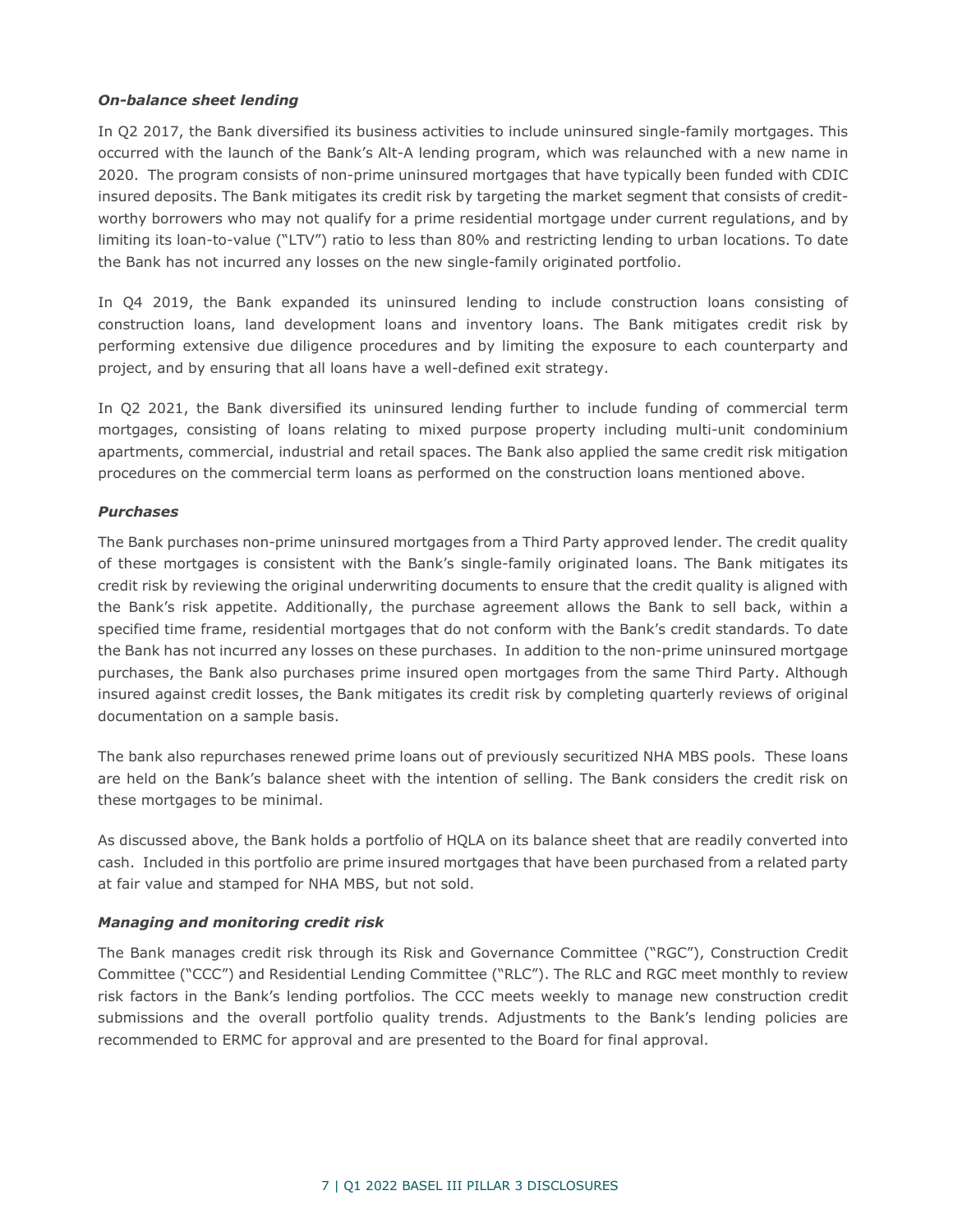### *On-balance sheet lending*

In Q2 2017, the Bank diversified its business activities to include uninsured single-family mortgages. This occurred with the launch of the Bank's Alt-A lending program, which was relaunched with a new name in 2020. The program consists of non-prime uninsured mortgages that have typically been funded with CDIC insured deposits. The Bank mitigates its credit risk by targeting the market segment that consists of creditworthy borrowers who may not qualify for a prime residential mortgage under current regulations, and by limiting its loan-to-value ("LTV") ratio to less than 80% and restricting lending to urban locations. To date the Bank has not incurred any losses on the new single-family originated portfolio.

In Q4 2019, the Bank expanded its uninsured lending to include construction loans consisting of construction loans, land development loans and inventory loans. The Bank mitigates credit risk by performing extensive due diligence procedures and by limiting the exposure to each counterparty and project, and by ensuring that all loans have a well-defined exit strategy.

In Q2 2021, the Bank diversified its uninsured lending further to include funding of commercial term mortgages, consisting of loans relating to mixed purpose property including multi-unit condominium apartments, commercial, industrial and retail spaces. The Bank also applied the same credit risk mitigation procedures on the commercial term loans as performed on the construction loans mentioned above.

#### *Purchases*

The Bank purchases non-prime uninsured mortgages from a Third Party approved lender. The credit quality of these mortgages is consistent with the Bank's single-family originated loans. The Bank mitigates its credit risk by reviewing the original underwriting documents to ensure that the credit quality is aligned with the Bank's risk appetite. Additionally, the purchase agreement allows the Bank to sell back, within a specified time frame, residential mortgages that do not conform with the Bank's credit standards. To date the Bank has not incurred any losses on these purchases. In addition to the non-prime uninsured mortgage purchases, the Bank also purchases prime insured open mortgages from the same Third Party. Although insured against credit losses, the Bank mitigates its credit risk by completing quarterly reviews of original documentation on a sample basis.

The bank also repurchases renewed prime loans out of previously securitized NHA MBS pools. These loans are held on the Bank's balance sheet with the intention of selling. The Bank considers the credit risk on these mortgages to be minimal.

As discussed above, the Bank holds a portfolio of HQLA on its balance sheet that are readily converted into cash. Included in this portfolio are prime insured mortgages that have been purchased from a related party at fair value and stamped for NHA MBS, but not sold.

#### *Managing and monitoring credit risk*

The Bank manages credit risk through its Risk and Governance Committee ("RGC"), Construction Credit Committee ("CCC") and Residential Lending Committee ("RLC"). The RLC and RGC meet monthly to review risk factors in the Bank's lending portfolios. The CCC meets weekly to manage new construction credit submissions and the overall portfolio quality trends. Adjustments to the Bank's lending policies are recommended to ERMC for approval and are presented to the Board for final approval.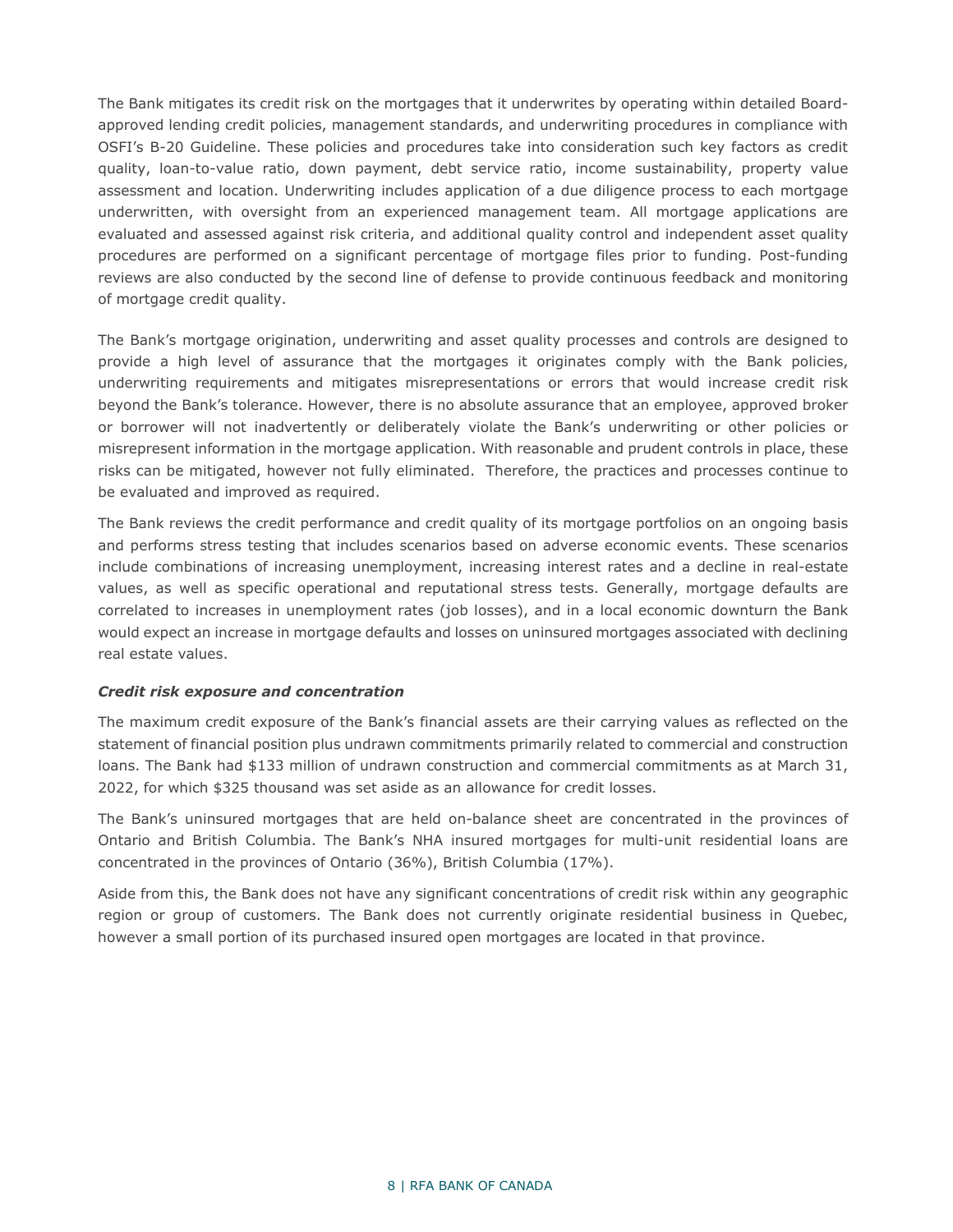The Bank mitigates its credit risk on the mortgages that it underwrites by operating within detailed Boardapproved lending credit policies, management standards, and underwriting procedures in compliance with OSFI's B-20 Guideline. These policies and procedures take into consideration such key factors as credit quality, loan-to-value ratio, down payment, debt service ratio, income sustainability, property value assessment and location. Underwriting includes application of a due diligence process to each mortgage underwritten, with oversight from an experienced management team. All mortgage applications are evaluated and assessed against risk criteria, and additional quality control and independent asset quality procedures are performed on a significant percentage of mortgage files prior to funding. Post-funding reviews are also conducted by the second line of defense to provide continuous feedback and monitoring of mortgage credit quality.

The Bank's mortgage origination, underwriting and asset quality processes and controls are designed to provide a high level of assurance that the mortgages it originates comply with the Bank policies, underwriting requirements and mitigates misrepresentations or errors that would increase credit risk beyond the Bank's tolerance. However, there is no absolute assurance that an employee, approved broker or borrower will not inadvertently or deliberately violate the Bank's underwriting or other policies or misrepresent information in the mortgage application. With reasonable and prudent controls in place, these risks can be mitigated, however not fully eliminated. Therefore, the practices and processes continue to be evaluated and improved as required.

The Bank reviews the credit performance and credit quality of its mortgage portfolios on an ongoing basis and performs stress testing that includes scenarios based on adverse economic events. These scenarios include combinations of increasing unemployment, increasing interest rates and a decline in real-estate values, as well as specific operational and reputational stress tests. Generally, mortgage defaults are correlated to increases in unemployment rates (job losses), and in a local economic downturn the Bank would expect an increase in mortgage defaults and losses on uninsured mortgages associated with declining real estate values.

#### *Credit risk exposure and concentration*

The maximum credit exposure of the Bank's financial assets are their carrying values as reflected on the statement of financial position plus undrawn commitments primarily related to commercial and construction loans. The Bank had \$133 million of undrawn construction and commercial commitments as at March 31, 2022, for which \$325 thousand was set aside as an allowance for credit losses.

The Bank's uninsured mortgages that are held on-balance sheet are concentrated in the provinces of Ontario and British Columbia. The Bank's NHA insured mortgages for multi-unit residential loans are concentrated in the provinces of Ontario (36%), British Columbia (17%).

Aside from this, the Bank does not have any significant concentrations of credit risk within any geographic region or group of customers. The Bank does not currently originate residential business in Quebec, however a small portion of its purchased insured open mortgages are located in that province.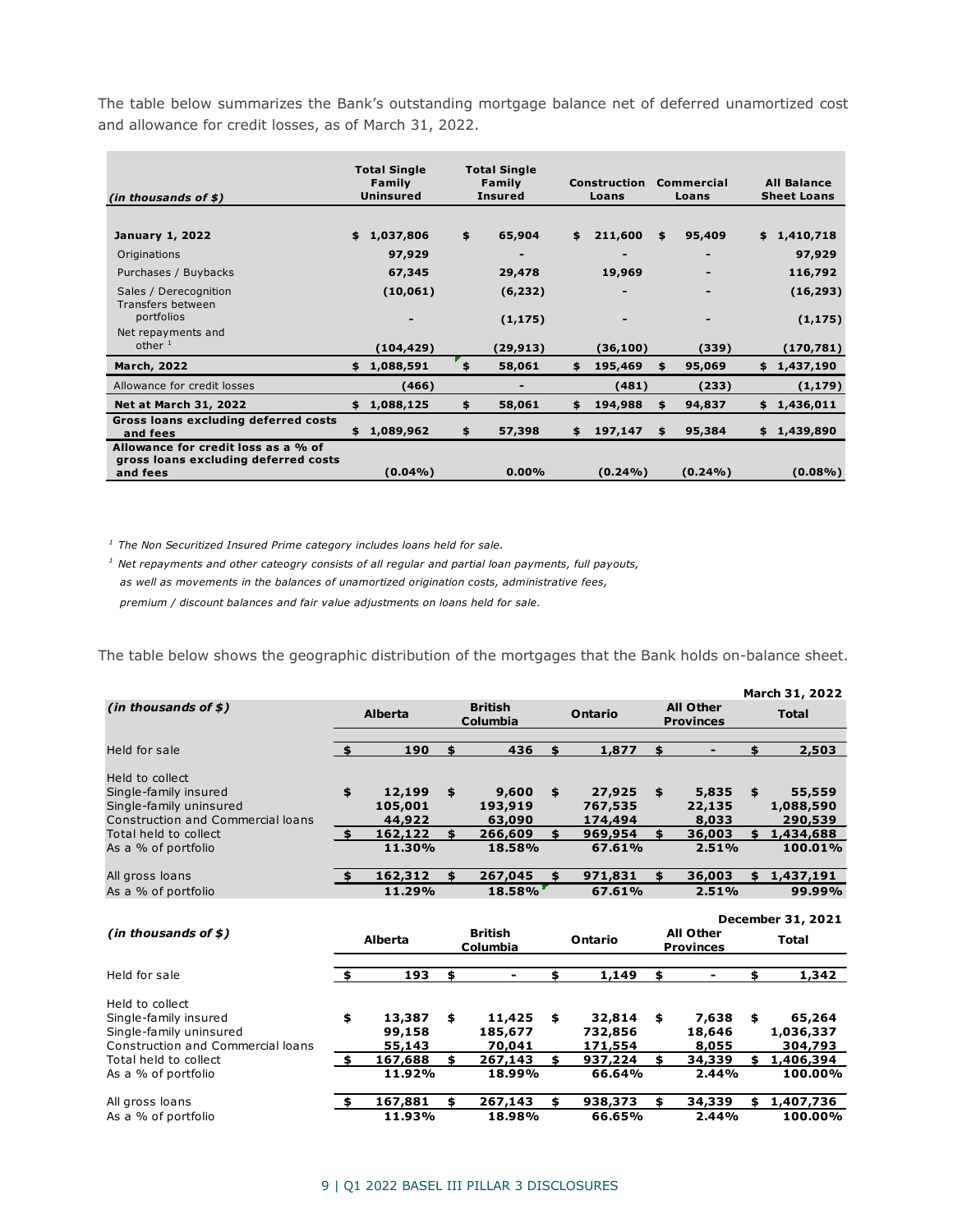The table below summarizes the Bank's outstanding mortgage balance net of deferred unamortized cost and allowance for credit losses, as of March 31, 2022.

| (in thousands of $$$ )                                                                  | <b>Total Single</b><br><b>Total Single</b><br>Family<br>Family<br><b>Uninsured</b><br><b>Insured</b> |             | <b>Construction</b><br>Loans |    |            | Commercial<br>Loans | <b>All Balance</b><br><b>Sheet Loans</b> |    |             |
|-----------------------------------------------------------------------------------------|------------------------------------------------------------------------------------------------------|-------------|------------------------------|----|------------|---------------------|------------------------------------------|----|-------------|
|                                                                                         |                                                                                                      |             |                              |    |            |                     |                                          |    |             |
| <b>January 1, 2022</b>                                                                  | \$                                                                                                   | 1,037,806   | \$<br>65,904                 | \$ | 211,600    | \$                  | 95,409                                   |    | \$1,410,718 |
| Originations                                                                            |                                                                                                      | 97,929      |                              |    |            |                     |                                          |    | 97,929      |
| Purchases / Buybacks                                                                    |                                                                                                      | 67,345      | 29,478                       |    | 19,969     |                     |                                          |    | 116,792     |
| Sales / Derecognition<br>Transfers between                                              |                                                                                                      | (10, 061)   | (6, 232)                     |    |            |                     |                                          |    | (16, 293)   |
| portfolios                                                                              |                                                                                                      |             | (1, 175)                     |    |            |                     |                                          |    | (1, 175)    |
| Net repayments and                                                                      |                                                                                                      |             |                              |    |            |                     |                                          |    |             |
| other $1$                                                                               |                                                                                                      | (104, 429)  | (29, 913)                    |    | (36, 100)  |                     | (339)                                    |    | (170, 781)  |
| <b>March, 2022</b>                                                                      | \$                                                                                                   | 1,088,591   | \$<br>58,061                 | \$ | 195,469    | \$                  | 95,069                                   | \$ | 1,437,190   |
| Allowance for credit losses                                                             |                                                                                                      | (466)       | -                            |    | (481)      |                     | (233)                                    |    | (1, 179)    |
| <b>Net at March 31, 2022</b>                                                            | \$                                                                                                   | 1,088,125   | \$<br>58,061                 | \$ | 194,988    | \$                  | 94,837                                   | \$ | 1,436,011   |
| Gross loans excluding deferred costs<br>and fees                                        |                                                                                                      | \$1,089,962 | \$<br>57,398                 | \$ | 197,147    | \$                  | 95,384                                   |    | \$1,439,890 |
| Allowance for credit loss as a % of<br>gross loans excluding deferred costs<br>and fees |                                                                                                      | $(0.04\%)$  | $0.00\%$                     |    | $(0.24\%)$ |                     | $(0.24\%)$                               |    | $(0.08\%)$  |

*1 The Non Securitized Insured Prime category includes loans held for sale.*

*1 Net repayments and other cateogry consists of all regular and partial loan payments, full payouts, as well as movements in the balances of unamortized origination costs, administrative fees, premium / discount balances and fair value adjustments on loans held for sale.*

The table below shows the geographic distribution of the mortgages that the Bank holds on-balance sheet.

|                                          |                |                |                            |                            |               |    |                                      |     | March 31, 2022                    |
|------------------------------------------|----------------|----------------|----------------------------|----------------------------|---------------|----|--------------------------------------|-----|-----------------------------------|
| (in thousands of $$$ )                   | <b>Alberta</b> |                |                            | <b>British</b><br>Columbia | Ontario       |    | <b>All Other</b><br><b>Provinces</b> |     | <b>Total</b>                      |
| Held for sale                            | \$             | 190            | \$                         | 436                        | \$<br>1,877   | \$ |                                      | \$  | 2,503                             |
|                                          |                |                |                            |                            |               |    |                                      |     |                                   |
| Held to collect                          |                |                |                            |                            |               |    |                                      |     |                                   |
| Single-family insured                    | \$             | 12,199         | \$                         | 9,600                      | \$<br>27,925  | \$ | 5,835                                | \$  | 55,559                            |
| Single-family uninsured                  |                | 105,001        |                            | 193,919                    | 767,535       |    | 22,135                               |     | 1,088,590                         |
| <b>Construction and Commercial loans</b> |                | 44,922         |                            | 63,090                     | 174,494       |    | 8,033                                |     | 290,539                           |
| Total held to collect                    | 5              | 162,122        | \$                         | 266,609                    | \$<br>969,954 | \$ | 36,003                               | \$  | 1,434,688                         |
| As a % of portfolio                      |                | 11.30%         |                            | 18.58%                     | 67.61%        |    | 2.51%                                |     | 100.01%                           |
| All gross loans                          | - \$           | 162,312        | \$                         | 267,045                    | \$<br>971,831 | \$ | 36,003                               |     | \$1,437,191                       |
| As a % of portfolio                      |                | 11.29%         |                            | 18.58%                     | 67.61%        |    | 2.51%                                |     | 99.99%                            |
| (in thousands of $$$ )                   |                | <b>Alberta</b> | <b>British</b><br>Columbia |                            | Ontario       |    | <b>All Other</b><br><b>Provinces</b> |     | December 31, 2021<br><b>Total</b> |
| Held for sale                            | \$             | 193            | \$                         | ۰                          | \$<br>1,149   | \$ |                                      | \$  | 1,342                             |
| Held to collect                          |                |                |                            |                            |               |    |                                      |     |                                   |
| Single-family insured                    | \$             | 13,387         | \$                         | 11,425                     | \$<br>32,814  | \$ | 7,638                                | \$  | 65,264                            |
| Single-family uninsured                  |                | 99,158         |                            | 185,677                    | 732,856       |    | 18,646                               |     | 1,036,337                         |
| <b>Construction and Commercial loans</b> |                | 55,143         |                            | 70,041                     | 171,554       |    | 8,055                                |     | 304,793                           |
| Total held to collect                    | \$             | 167,688        |                            | 267,143                    | \$<br>937,224 | \$ | 34,339                               | \$  | 1,406,394                         |
| As a % of portfolio                      |                | 11.92%         |                            | 18.99%                     | 66.64%        |    | 2.44%                                |     | 100.00%                           |
|                                          |                |                |                            |                            |               |    |                                      |     |                                   |
| All gross loans                          | \$             | 167,881        | \$.                        | 267,143                    | \$<br>938,373 | \$ | 34,339                               | \$. | 1,407,736                         |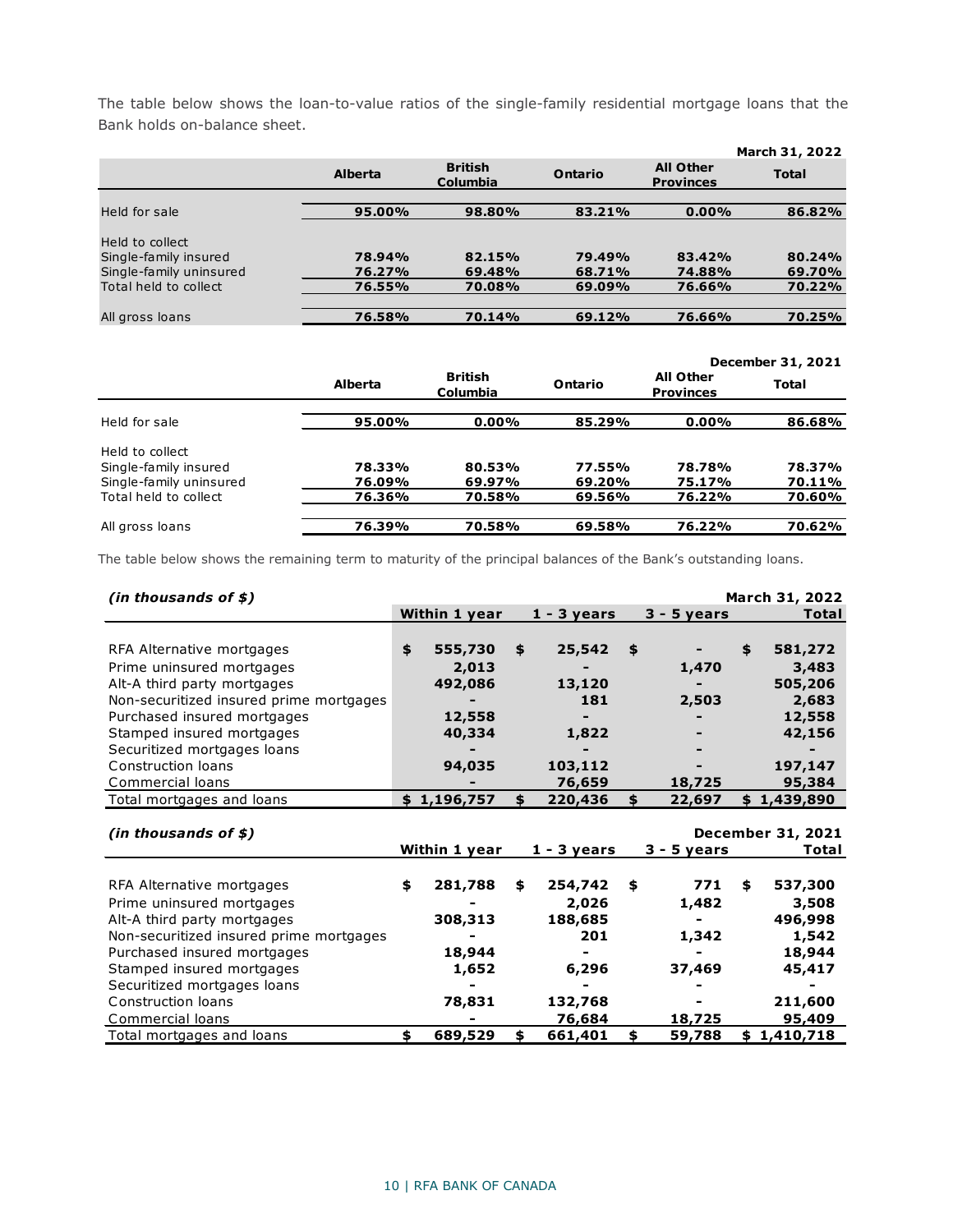The table below shows the loan-to-value ratios of the single-family residential mortgage loans that the Bank holds on-balance sheet.

|                                                  |                  |                            |                  |                                      | March 31, 2022   |
|--------------------------------------------------|------------------|----------------------------|------------------|--------------------------------------|------------------|
|                                                  | <b>Alberta</b>   | <b>British</b><br>Columbia |                  | <b>All Other</b><br><b>Provinces</b> | <b>Total</b>     |
| Held for sale                                    | 95.00%           | 98.80%                     | 83.21%           | $0.00\%$                             | 86.82%           |
| Held to collect<br>Single-family insured         | 78.94%           | 82.15%                     | 79.49%           | 83.42%                               | 80.24%           |
| Single-family uninsured<br>Total held to collect | 76.27%<br>76.55% | 69.48%<br>70.08%           | 68.71%<br>69.09% | 74.88%<br>76.66%                     | 69.70%<br>70.22% |
|                                                  |                  |                            |                  |                                      |                  |
| All gross loans                                  | 76.58%           | 70.14%                     | 69.12%           | 76.66%                               | 70.25%           |

|                                          |                |                            |         |                                      | December 31, 2021 |
|------------------------------------------|----------------|----------------------------|---------|--------------------------------------|-------------------|
|                                          | <b>Alberta</b> | <b>British</b><br>Columbia | Ontario | <b>All Other</b><br><b>Provinces</b> | <b>Total</b>      |
| Held for sale                            | 95.00%         | $0.00\%$                   | 85.29%  | $0.00\%$                             | 86.68%            |
| Held to collect<br>Single-family insured | 78.33%         | 80.53%                     | 77.55%  | 78.78%                               | 78.37%            |
| Single-family uninsured                  | 76.09%         | 69.97%                     | 69.20%  | 75.17%                               | 70.11%            |
| Total held to collect                    | 76.36%         | 70.58%                     | 69.56%  | 76.22%                               | 70.60%            |
| All gross loans                          | 76.39%         | 70.58%                     | 69.58%  | 76.22%                               | 70.62%            |

The table below shows the remaining term to maturity of the principal balances of the Bank's outstanding loans.

| (in thousands of $$$ )                  |               |               |               | March 31, 2022           |
|-----------------------------------------|---------------|---------------|---------------|--------------------------|
|                                         | Within 1 year | $1 - 3$ years | $3 - 5$ years | Total                    |
|                                         |               |               |               |                          |
| RFA Alternative mortgages               | \$<br>555,730 | \$<br>25,542  | \$            | \$<br>581,272            |
| Prime uninsured mortgages               | 2,013         |               | 1,470         | 3,483                    |
| Alt-A third party mortgages             | 492,086       | 13,120        |               | 505,206                  |
| Non-securitized insured prime mortgages |               | 181           | 2,503         | 2,683                    |
| Purchased insured mortgages             | 12,558        |               |               | 12,558                   |
| Stamped insured mortgages               | 40,334        | 1,822         |               | 42,156                   |
| Securitized mortgages loans             |               |               |               |                          |
| Construction loans                      | 94,035        | 103,112       |               | 197,147                  |
| Commercial loans                        |               | 76,659        | 18,725        | 95,384                   |
| Total mortgages and loans               | \$1,196,757   | \$<br>220,436 | \$<br>22,697  | \$1,439,890              |
|                                         |               |               |               |                          |
| (in thousands of $$$ )                  |               |               |               | <b>December 31, 2021</b> |
|                                         | Within 1 year | $1 - 3$ years | $3 - 5$ years | Total                    |
|                                         |               |               |               |                          |
| RFA Alternative mortgages               | \$<br>281,788 | \$<br>254,742 | \$<br>771     | \$<br>537,300            |
| Prime uninsured mortgages               |               | 2,026         | 1,482         | 3,508                    |
| Alt-A third party mortgages             | 308,313       | 188,685       |               | 496,998                  |
| Non-securitized insured prime mortgages |               | 201           | 1,342         | 1,542                    |
| Purchased insured mortgages             | 18,944        |               |               | 18,944                   |
| Stamped insured mortgages               | 1,652         | 6,296         | 37,469        | 45,417                   |
| Securitized mortgages loans             |               |               |               |                          |
| Construction loans                      | 78,831        | 132,768       |               | 211,600                  |
| Commercial loans                        |               | 76,684        | 18,725        | 95,409                   |
| Total mortgages and loans               | \$<br>689,529 | \$<br>661,401 | \$<br>59,788  | \$1,410,718              |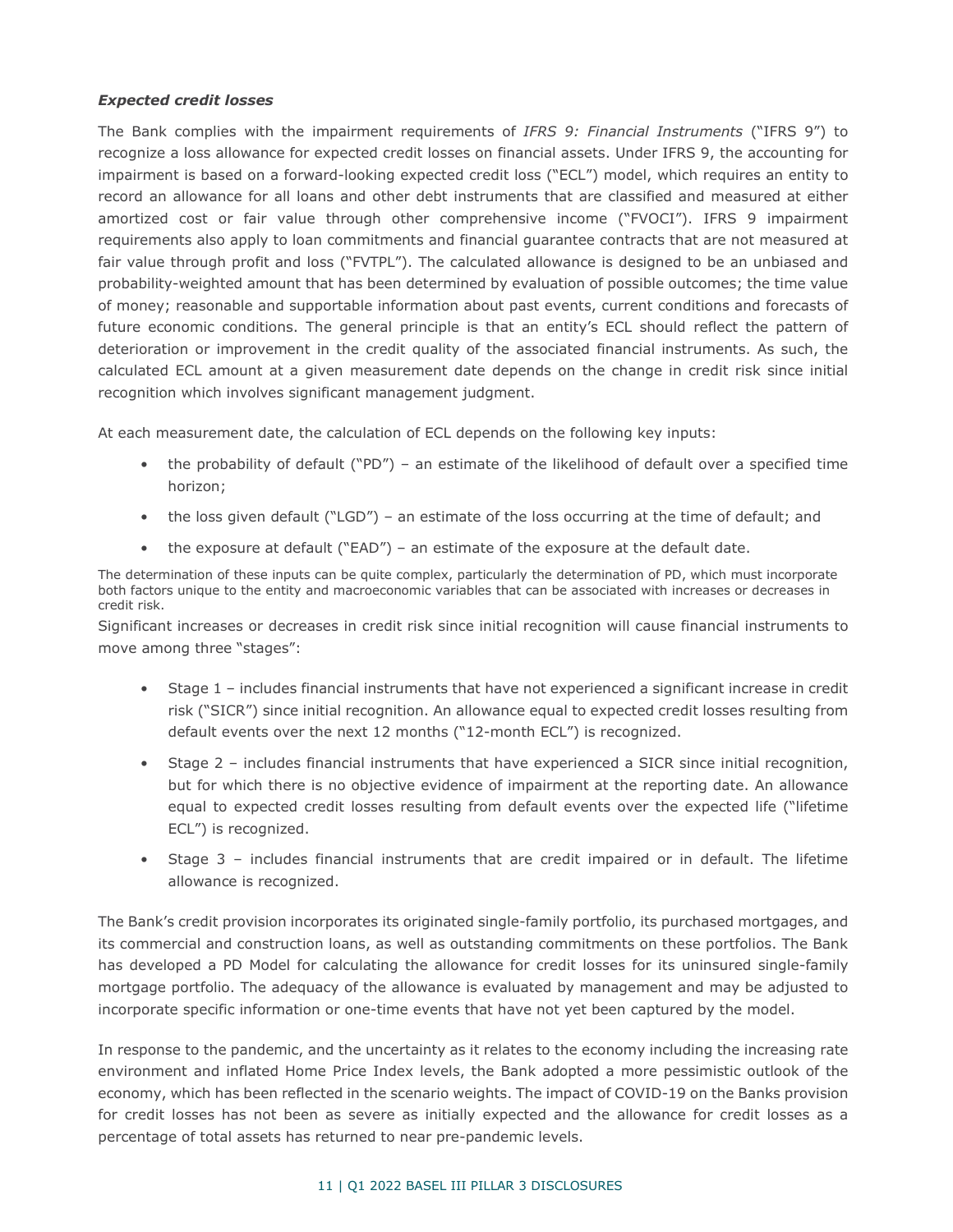### *Expected credit losses*

The Bank complies with the impairment requirements of *IFRS 9: Financial Instruments* ("IFRS 9") to recognize a loss allowance for expected credit losses on financial assets. Under IFRS 9, the accounting for impairment is based on a forward-looking expected credit loss ("ECL") model, which requires an entity to record an allowance for all loans and other debt instruments that are classified and measured at either amortized cost or fair value through other comprehensive income ("FVOCI"). IFRS 9 impairment requirements also apply to loan commitments and financial guarantee contracts that are not measured at fair value through profit and loss ("FVTPL"). The calculated allowance is designed to be an unbiased and probability-weighted amount that has been determined by evaluation of possible outcomes; the time value of money; reasonable and supportable information about past events, current conditions and forecasts of future economic conditions. The general principle is that an entity's ECL should reflect the pattern of deterioration or improvement in the credit quality of the associated financial instruments. As such, the calculated ECL amount at a given measurement date depends on the change in credit risk since initial recognition which involves significant management judgment.

At each measurement date, the calculation of ECL depends on the following key inputs:

- the probability of default ("PD") an estimate of the likelihood of default over a specified time horizon;
- the loss given default ("LGD") an estimate of the loss occurring at the time of default; and
- the exposure at default ("EAD") an estimate of the exposure at the default date.

The determination of these inputs can be quite complex, particularly the determination of PD, which must incorporate both factors unique to the entity and macroeconomic variables that can be associated with increases or decreases in credit risk.

Significant increases or decreases in credit risk since initial recognition will cause financial instruments to move among three "stages":

- Stage 1 includes financial instruments that have not experienced a significant increase in credit risk ("SICR") since initial recognition. An allowance equal to expected credit losses resulting from default events over the next 12 months ("12-month ECL") is recognized.
- Stage 2 includes financial instruments that have experienced a SICR since initial recognition, but for which there is no objective evidence of impairment at the reporting date. An allowance equal to expected credit losses resulting from default events over the expected life ("lifetime ECL") is recognized.
- Stage 3 includes financial instruments that are credit impaired or in default. The lifetime allowance is recognized.

The Bank's credit provision incorporates its originated single-family portfolio, its purchased mortgages, and its commercial and construction loans, as well as outstanding commitments on these portfolios. The Bank has developed a PD Model for calculating the allowance for credit losses for its uninsured single-family mortgage portfolio. The adequacy of the allowance is evaluated by management and may be adjusted to incorporate specific information or one-time events that have not yet been captured by the model.

In response to the pandemic, and the uncertainty as it relates to the economy including the increasing rate environment and inflated Home Price Index levels, the Bank adopted a more pessimistic outlook of the economy, which has been reflected in the scenario weights. The impact of COVID-19 on the Banks provision for credit losses has not been as severe as initially expected and the allowance for credit losses as a percentage of total assets has returned to near pre-pandemic levels.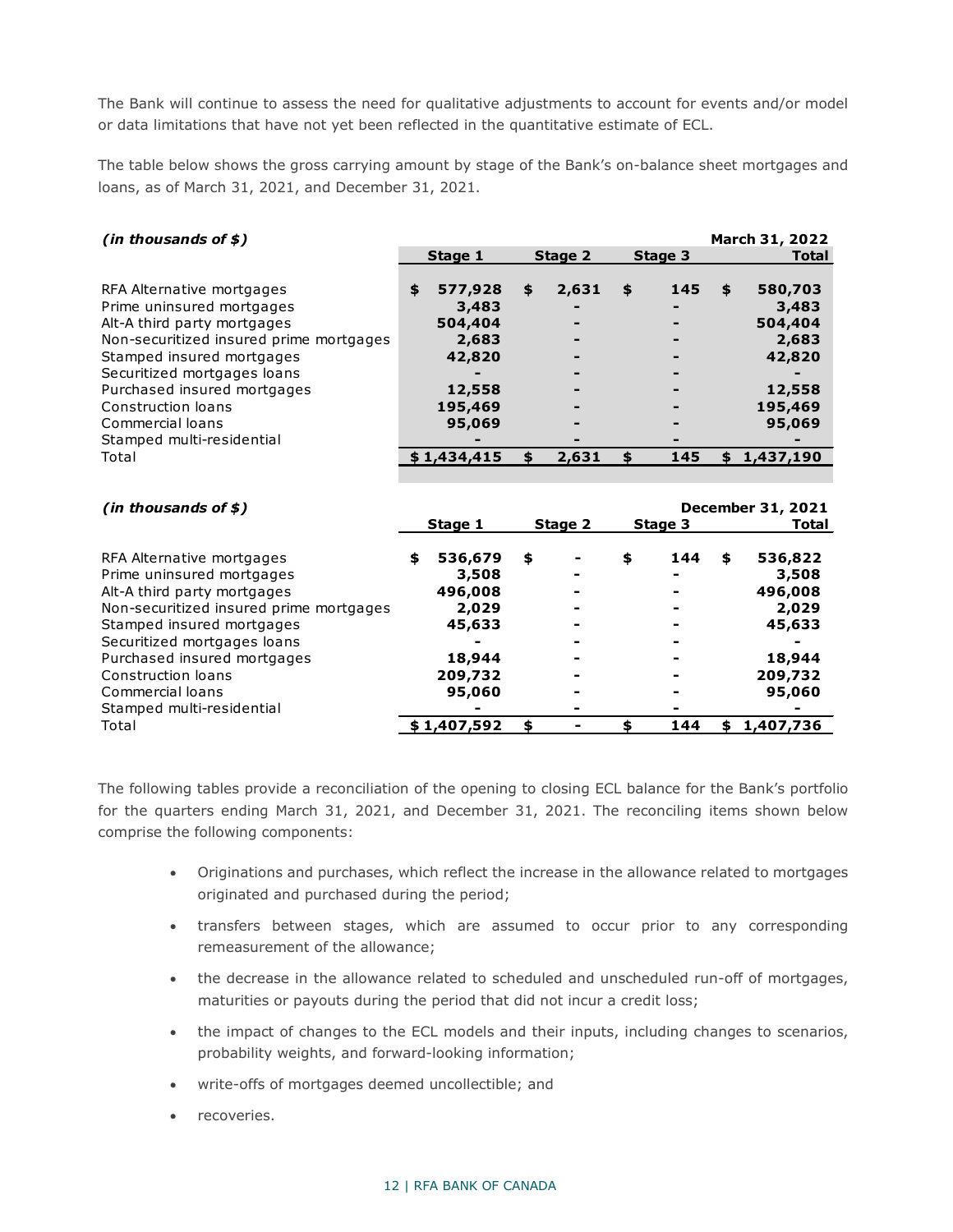The Bank will continue to assess the need for qualitative adjustments to account for events and/or model or data limitations that have not yet been reflected in the quantitative estimate of ECL.

The table below shows the gross carrying amount by stage of the Bank's on-balance sheet mortgages and loans, as of March 31, 2021, and December 31, 2021.

| (in thousands of $$$ )                                 |                   |             |           | March 31, 2022    |
|--------------------------------------------------------|-------------------|-------------|-----------|-------------------|
|                                                        | Stage 1           | Stage 2     | Stage 3   | <b>Total</b>      |
|                                                        |                   |             |           |                   |
| RFA Alternative mortgages                              | \$<br>577,928     | \$<br>2,631 | \$<br>145 | \$<br>580,703     |
| Prime uninsured mortgages                              | 3,483             |             |           | 3,483             |
| Alt-A third party mortgages                            | 504,404           |             |           | 504,404           |
| Non-securitized insured prime mortgages                | 2,683             |             |           | 2,683             |
| Stamped insured mortgages                              | 42,820            |             |           | 42,820            |
| Securitized mortgages loans                            |                   |             |           |                   |
| Purchased insured mortgages                            | 12,558            |             |           | 12,558            |
| Construction loans                                     | 195,469           |             |           | 195,469           |
| Commercial loans                                       | 95,069            |             |           | 95,069            |
| Stamped multi-residential                              |                   |             |           |                   |
| Total                                                  | \$1,434,415       | \$<br>2,631 | \$<br>145 | \$<br>1,437,190   |
|                                                        |                   |             |           |                   |
|                                                        |                   |             |           |                   |
|                                                        |                   |             |           |                   |
| (in thousands of $$$ )                                 |                   |             |           | December 31, 2021 |
|                                                        |                   |             |           | Total             |
|                                                        | Stage 1           | Stage 2     | Stage 3   |                   |
|                                                        | \$<br>536,679     | \$          | \$<br>144 | \$<br>536,822     |
| RFA Alternative mortgages<br>Prime uninsured mortgages | 3,508             |             |           | 3,508             |
|                                                        | 496,008           |             |           |                   |
| Alt-A third party mortgages                            |                   |             |           | 496,008<br>2,029  |
| Non-securitized insured prime mortgages                | 2,029<br>45,633   |             |           |                   |
| Stamped insured mortgages                              |                   |             |           | 45,633            |
| Securitized mortgages loans                            | 18,944            |             |           |                   |
| Purchased insured mortgages<br>Construction loans      |                   |             |           | 18,944<br>209,732 |
| Commercial loans                                       | 209,732<br>95,060 |             |           |                   |
| Stamped multi-residential                              |                   |             |           | 95,060            |

The following tables provide a reconciliation of the opening to closing ECL balance for the Bank's portfolio for the quarters ending March 31, 2021, and December 31, 2021. The reconciling items shown below comprise the following components:

- Originations and purchases, which reflect the increase in the allowance related to mortgages originated and purchased during the period;
- transfers between stages, which are assumed to occur prior to any corresponding remeasurement of the allowance;
- the decrease in the allowance related to scheduled and unscheduled run-off of mortgages, maturities or payouts during the period that did not incur a credit loss;
- the impact of changes to the ECL models and their inputs, including changes to scenarios, probability weights, and forward-looking information;
- write-offs of mortgages deemed uncollectible; and
- recoveries.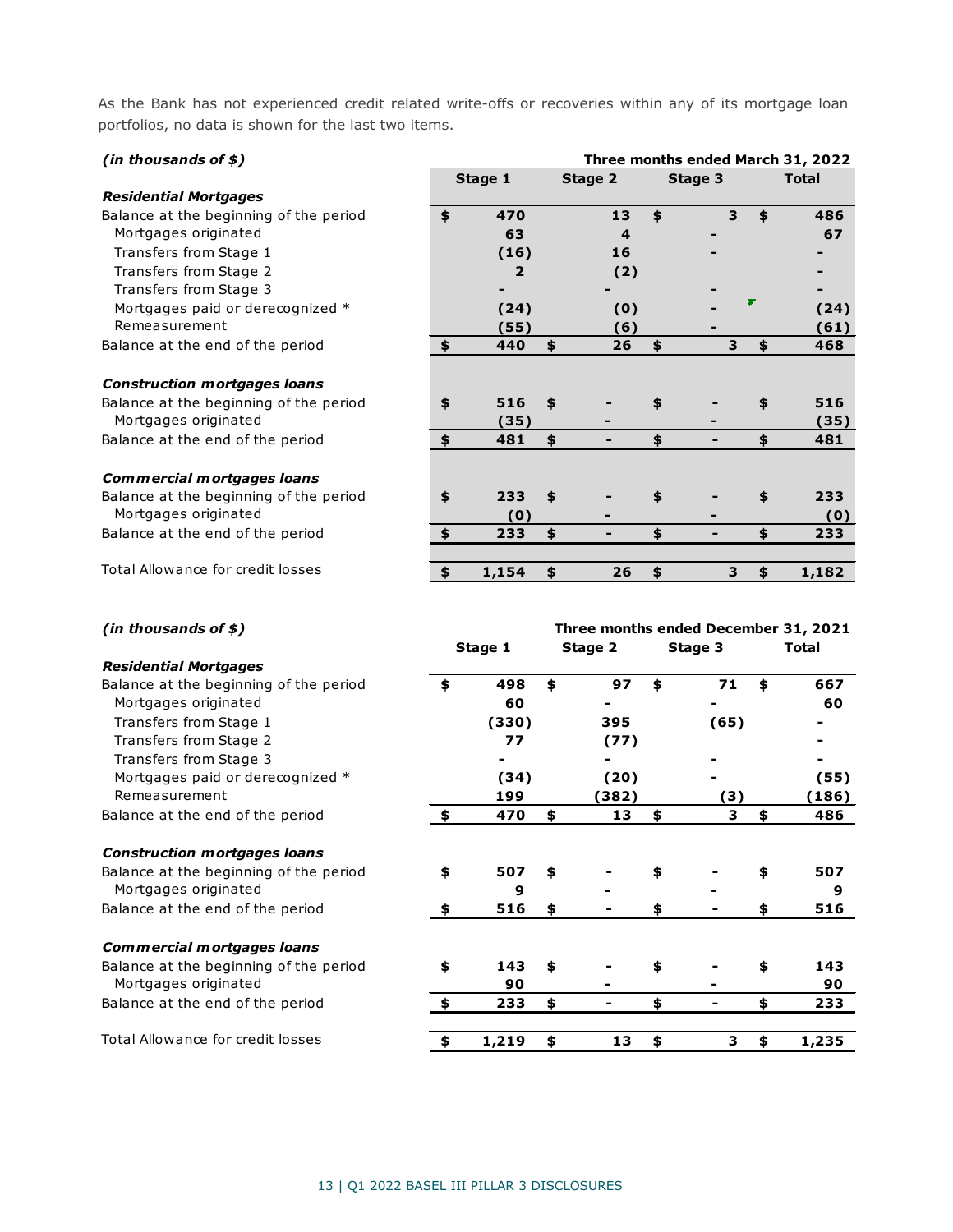As the Bank has not experienced credit related write-offs or recoveries within any of its mortgage loan portfolios, no data is shown for the last two items.

| (in thousands of $$$ )                 | Three months ended March 31, 2022 |    |         |    |         |   |    |              |
|----------------------------------------|-----------------------------------|----|---------|----|---------|---|----|--------------|
|                                        | Stage 1                           |    | Stage 2 |    | Stage 3 |   |    | <b>Total</b> |
| <b>Residential Mortgages</b>           |                                   |    |         |    |         |   |    |              |
| Balance at the beginning of the period | \$<br>470                         |    | 13      | \$ |         | 3 | \$ | 486          |
| Mortgages originated                   | 63                                |    | 4       |    |         |   |    | 67           |
| Transfers from Stage 1                 | (16)                              |    | 16      |    |         |   |    |              |
| Transfers from Stage 2                 | 2                                 |    | (2)     |    |         |   |    |              |
| Transfers from Stage 3                 |                                   |    |         |    |         |   |    |              |
| Mortgages paid or derecognized *       | (24)                              |    | (0)     |    |         |   |    | (24)         |
| Remeasurement                          | (55)                              |    | (6)     |    |         |   |    | (61)         |
| Balance at the end of the period       | \$<br>440                         | \$ | 26      | \$ |         | 3 | \$ | 468          |
|                                        |                                   |    |         |    |         |   |    |              |
| <b>Construction mortgages loans</b>    |                                   |    |         |    |         |   |    |              |
| Balance at the beginning of the period | \$<br>516                         | \$ |         | \$ |         |   | \$ | 516          |
| Mortgages originated                   | (35)                              |    |         |    |         |   |    | (35)         |
| Balance at the end of the period       | \$<br>481                         | \$ | -       | \$ |         |   | \$ | 481          |
|                                        |                                   |    |         |    |         |   |    |              |
| Commercial mortgages loans             |                                   |    |         |    |         |   |    |              |
| Balance at the beginning of the period | \$<br>233                         | \$ |         | \$ |         |   | \$ | 233          |
| Mortgages originated                   | (0)                               |    |         |    |         |   |    | (0)          |
| Balance at the end of the period       | \$<br>233                         | \$ |         | \$ |         |   | \$ | 233          |
| Total Allowance for credit losses      | \$<br>1,154                       | \$ | 26      | \$ |         | 3 | \$ | 1,182        |

| (in thousands of $$$ )                 |         |       | Three months ended December 31, 2021 |         |    |         |    |       |  |  |  |
|----------------------------------------|---------|-------|--------------------------------------|---------|----|---------|----|-------|--|--|--|
|                                        | Stage 1 |       |                                      | Stage 2 |    | Stage 3 |    | Total |  |  |  |
| <b>Residential Mortgages</b>           |         |       |                                      |         |    |         |    |       |  |  |  |
| Balance at the beginning of the period | \$      | 498   | \$                                   | 97      | \$ | 71      | \$ | 667   |  |  |  |
| Mortgages originated                   |         | 60    |                                      |         |    |         |    | 60    |  |  |  |
| Transfers from Stage 1                 |         | (330) |                                      | 395     |    | (65)    |    |       |  |  |  |
| Transfers from Stage 2                 |         | 77    |                                      | (77)    |    |         |    |       |  |  |  |
| Transfers from Stage 3                 |         |       |                                      |         |    |         |    |       |  |  |  |
| Mortgages paid or derecognized *       |         | (34)  |                                      | (20)    |    |         |    | (55)  |  |  |  |
| Remeasurement                          |         | 199   |                                      | (382)   |    | (3)     |    | (186) |  |  |  |
| Balance at the end of the period       | \$      | 470   | \$                                   | 13      | \$ | 3       | \$ | 486   |  |  |  |
| <b>Construction mortgages loans</b>    |         |       |                                      |         |    |         |    |       |  |  |  |
| Balance at the beginning of the period | \$      | 507   | \$                                   |         | \$ |         | \$ | 507   |  |  |  |
| Mortgages originated                   |         | 9     |                                      |         |    |         |    | 9     |  |  |  |
| Balance at the end of the period       | \$      | 516   | \$                                   |         | \$ |         | \$ | 516   |  |  |  |
| Commercial mortgages loans             |         |       |                                      |         |    |         |    |       |  |  |  |
| Balance at the beginning of the period | \$      | 143   | \$                                   |         | \$ |         | \$ | 143   |  |  |  |
| Mortgages originated                   |         | 90    |                                      |         |    |         |    | 90    |  |  |  |
| Balance at the end of the period       | \$      | 233   | \$                                   |         | \$ | ۰       | \$ | 233   |  |  |  |
| Total Allowance for credit losses      | \$      | 1,219 | \$                                   | 13      | \$ | 3       | \$ | 1,235 |  |  |  |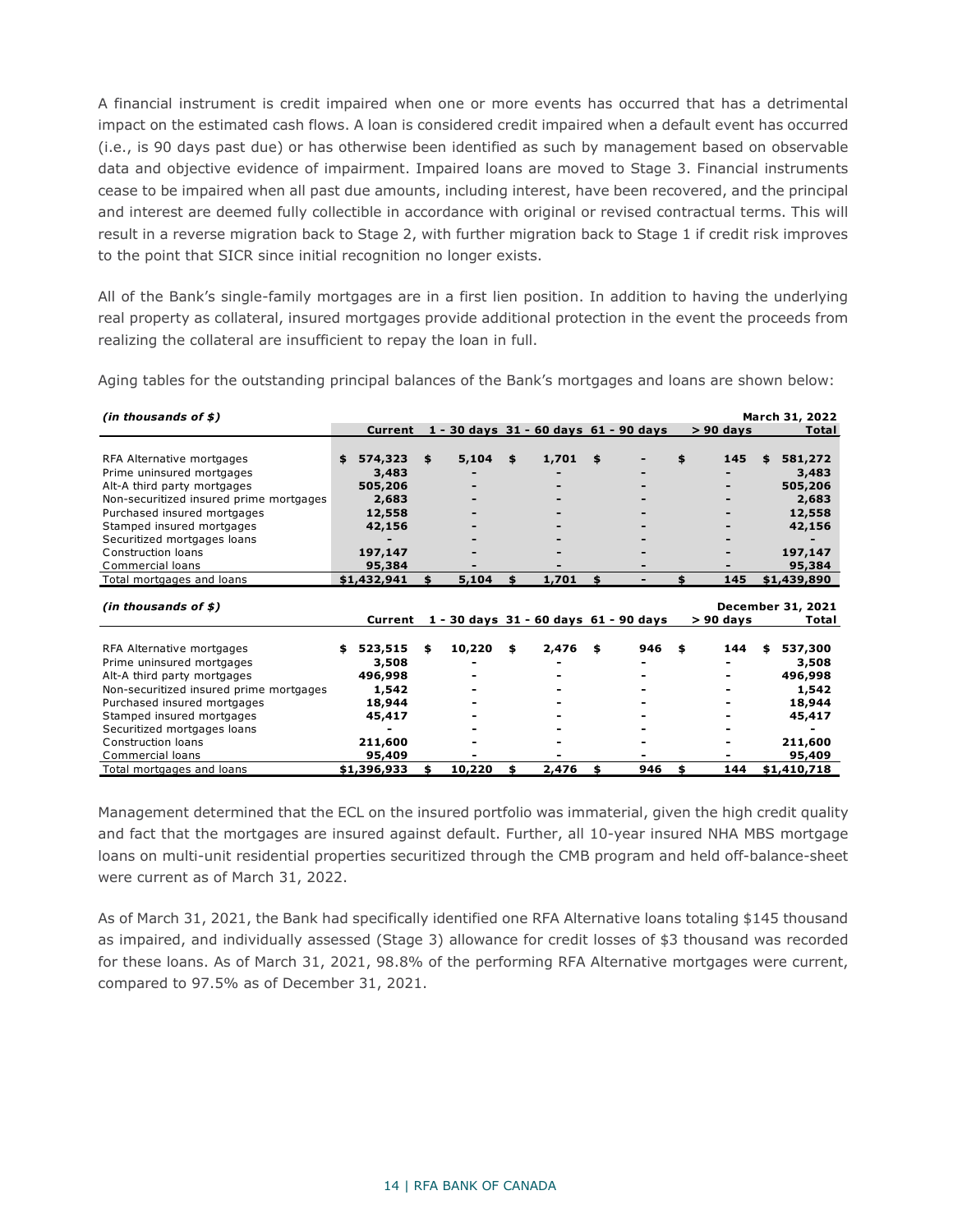A financial instrument is credit impaired when one or more events has occurred that has a detrimental impact on the estimated cash flows. A loan is considered credit impaired when a default event has occurred (i.e., is 90 days past due) or has otherwise been identified as such by management based on observable data and objective evidence of impairment. Impaired loans are moved to Stage 3. Financial instruments cease to be impaired when all past due amounts, including interest, have been recovered, and the principal and interest are deemed fully collectible in accordance with original or revised contractual terms. This will result in a reverse migration back to Stage 2, with further migration back to Stage 1 if credit risk improves to the point that SICR since initial recognition no longer exists.

All of the Bank's single-family mortgages are in a first lien position. In addition to having the underlying real property as collateral, insured mortgages provide additional protection in the event the proceeds from realizing the collateral are insufficient to repay the loan in full.

Aging tables for the outstanding principal balances of the Bank's mortgages and loans are shown below:

| $(in$ thousands of \$)                  |               |     |        |             |                                       |     |             | March 31, 2022    |
|-----------------------------------------|---------------|-----|--------|-------------|---------------------------------------|-----|-------------|-------------------|
|                                         | Current       |     |        |             | 1 - 30 days 31 - 60 days 61 - 90 days |     | $> 90$ days | Total             |
|                                         |               |     |        |             |                                       |     |             |                   |
| RFA Alternative mortgages               | \$<br>574,323 | \$  | 5,104  | \$<br>1,701 | \$                                    | \$  | 145         | 581,272<br>\$     |
| Prime uninsured mortgages               | 3,483         |     |        |             |                                       |     |             | 3,483             |
| Alt-A third party mortgages             | 505,206       |     |        |             |                                       |     |             | 505,206           |
| Non-securitized insured prime mortgages | 2,683         |     |        |             |                                       |     |             | 2,683             |
| Purchased insured mortgages             | 12,558        |     |        |             |                                       |     |             | 12,558            |
| Stamped insured mortgages               | 42,156        |     |        |             |                                       |     |             | 42,156            |
| Securitized mortgages loans             |               |     |        |             |                                       |     |             |                   |
| Construction loans                      | 197,147       |     |        |             |                                       |     |             | 197,147           |
| Commercial loans                        | 95,384        |     |        |             |                                       |     |             | 95,384            |
| Total mortgages and loans               | \$1,432,941   |     | 5,104  | \$<br>1,701 | \$<br>$\blacksquare$                  | \$. | 145         | \$1,439,890       |
|                                         |               |     |        |             |                                       |     |             |                   |
| (in thousands of $$$ )                  |               |     |        |             |                                       |     |             | December 31, 2021 |
|                                         | Current       |     |        |             | 1 - 30 days 31 - 60 days 61 - 90 days |     | $> 90$ days | Total             |
|                                         |               |     |        |             |                                       |     |             |                   |
| RFA Alternative mortgages               | 523,515       | \$  | 10,220 | \$<br>2,476 | \$<br>946                             | \$  | 144         | 537,300<br>\$     |
| Prime uninsured mortgages               | 3,508         |     |        |             |                                       |     |             | 3,508             |
| Alt-A third party mortgages             | 496,998       |     |        |             |                                       |     |             | 496,998           |
| Non-securitized insured prime mortgages | 1,542         |     |        |             |                                       |     |             | 1,542             |
| Purchased insured mortgages             | 18,944        |     |        |             |                                       |     |             | 18,944            |
| Stamped insured mortgages               | 45,417        |     |        |             |                                       |     |             | 45,417            |
| Securitized mortgages loans             |               |     |        |             |                                       |     |             |                   |
| Construction loans                      | 211,600       |     |        |             |                                       |     |             | 211,600           |
| Commercial loans                        | 95,409        |     |        |             |                                       |     |             | 95,409            |
| Total mortgages and loans               | \$1,396,933   | \$. | 10,220 | \$<br>2,476 | \$<br>946                             | \$  | 144         | \$1,410,718       |

Management determined that the ECL on the insured portfolio was immaterial, given the high credit quality and fact that the mortgages are insured against default. Further, all 10-year insured NHA MBS mortgage loans on multi-unit residential properties securitized through the CMB program and held off-balance-sheet were current as of March 31, 2022.

As of March 31, 2021, the Bank had specifically identified one RFA Alternative loans totaling \$145 thousand as impaired, and individually assessed (Stage 3) allowance for credit losses of \$3 thousand was recorded for these loans. As of March 31, 2021, 98.8% of the performing RFA Alternative mortgages were current, compared to 97.5% as of December 31, 2021.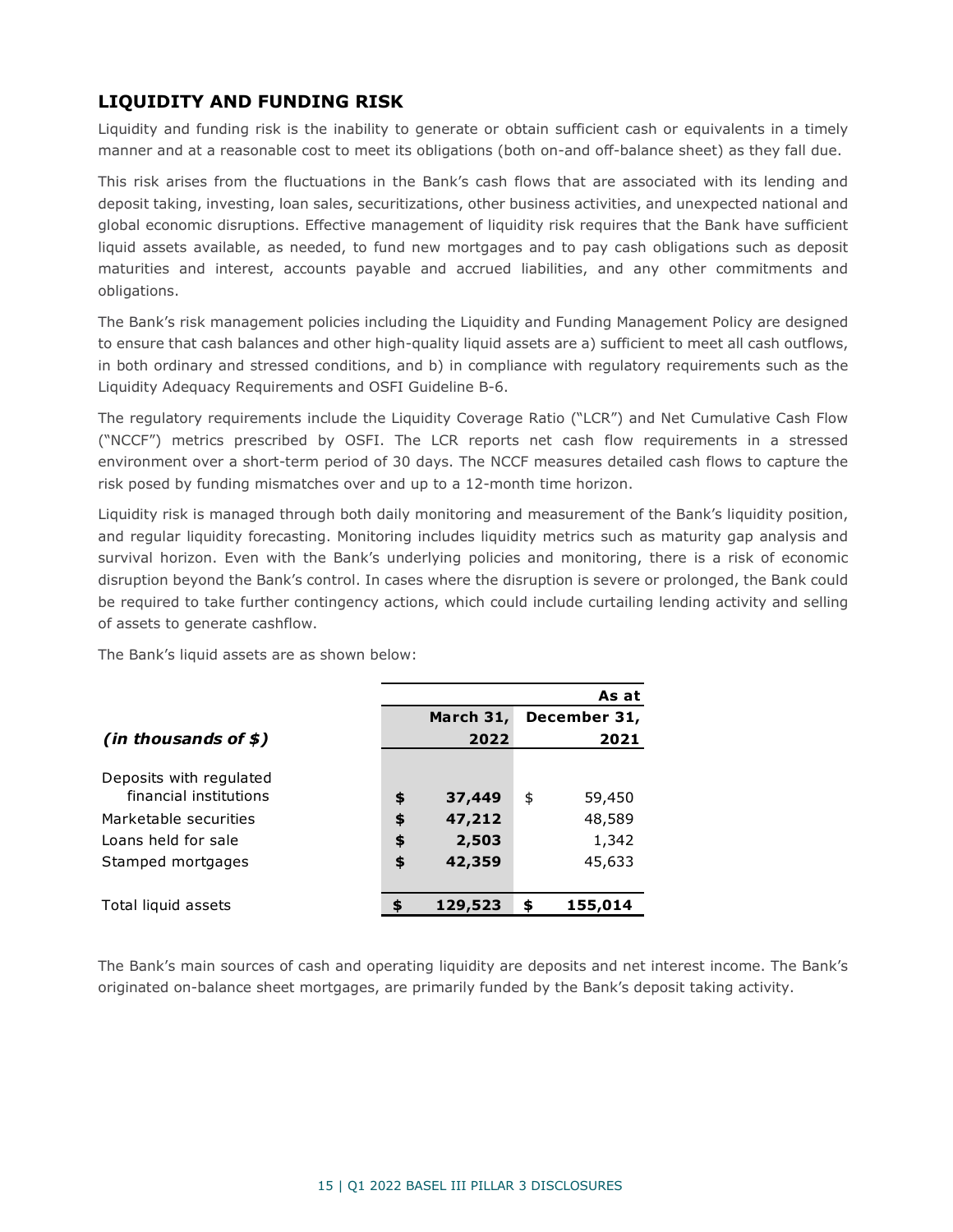## <span id="page-15-0"></span>**LIQUIDITY AND FUNDING RISK**

Liquidity and funding risk is the inability to generate or obtain sufficient cash or equivalents in a timely manner and at a reasonable cost to meet its obligations (both on-and off-balance sheet) as they fall due.

This risk arises from the fluctuations in the Bank's cash flows that are associated with its lending and deposit taking, investing, loan sales, securitizations, other business activities, and unexpected national and global economic disruptions. Effective management of liquidity risk requires that the Bank have sufficient liquid assets available, as needed, to fund new mortgages and to pay cash obligations such as deposit maturities and interest, accounts payable and accrued liabilities, and any other commitments and obligations.

The Bank's risk management policies including the Liquidity and Funding Management Policy are designed to ensure that cash balances and other high-quality liquid assets are a) sufficient to meet all cash outflows, in both ordinary and stressed conditions, and b) in compliance with regulatory requirements such as the Liquidity Adequacy Requirements and OSFI Guideline B-6.

The regulatory requirements include the Liquidity Coverage Ratio ("LCR") and Net Cumulative Cash Flow ("NCCF") metrics prescribed by OSFI. The LCR reports net cash flow requirements in a stressed environment over a short-term period of 30 days. The NCCF measures detailed cash flows to capture the risk posed by funding mismatches over and up to a 12-month time horizon.

Liquidity risk is managed through both daily monitoring and measurement of the Bank's liquidity position, and regular liquidity forecasting. Monitoring includes liquidity metrics such as maturity gap analysis and survival horizon. Even with the Bank's underlying policies and monitoring, there is a risk of economic disruption beyond the Bank's control. In cases where the disruption is severe or prolonged, the Bank could be required to take further contingency actions, which could include curtailing lending activity and selling of assets to generate cashflow.

The Bank's liquid assets are as shown below:

|                                                   | As at |           |    |              |  |  |  |
|---------------------------------------------------|-------|-----------|----|--------------|--|--|--|
|                                                   |       | March 31, |    | December 31, |  |  |  |
| (in thousands of $\sharp$ )                       |       | 2022      |    | 2021         |  |  |  |
| Deposits with regulated<br>financial institutions | \$    | 37,449    | \$ | 59,450       |  |  |  |
| Marketable securities                             | \$    | 47,212    |    | 48,589       |  |  |  |
| Loans held for sale                               | \$    | 2,503     |    | 1,342        |  |  |  |
| Stamped mortgages                                 | \$    | 42,359    |    | 45,633       |  |  |  |
|                                                   |       |           |    |              |  |  |  |
| Total liquid assets                               |       | 129,523   | \$ | 155,014      |  |  |  |

The Bank's main sources of cash and operating liquidity are deposits and net interest income. The Bank's originated on-balance sheet mortgages, are primarily funded by the Bank's deposit taking activity.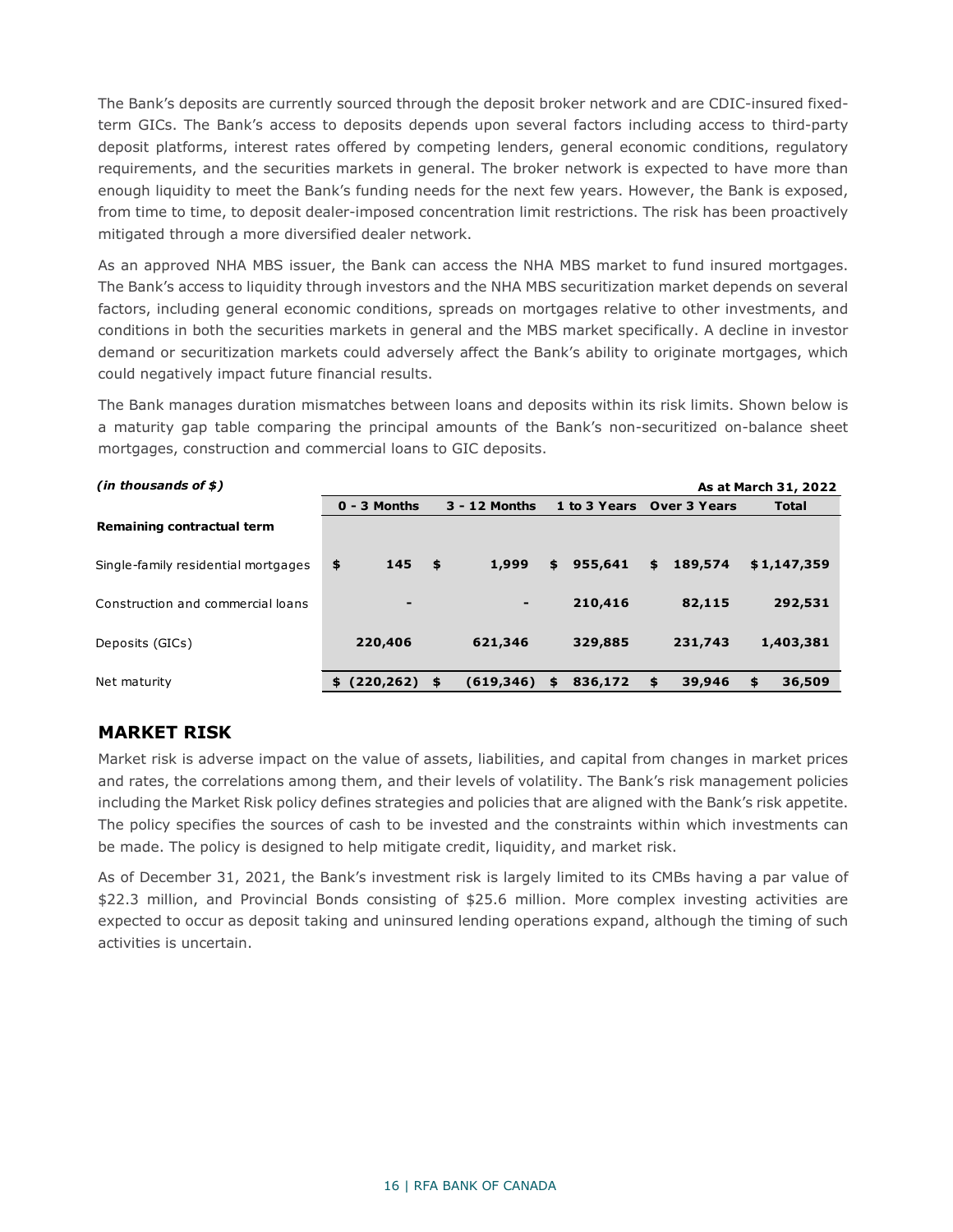The Bank's deposits are currently sourced through the deposit broker network and are CDIC-insured fixedterm GICs. The Bank's access to deposits depends upon several factors including access to third-party deposit platforms, interest rates offered by competing lenders, general economic conditions, regulatory requirements, and the securities markets in general. The broker network is expected to have more than enough liquidity to meet the Bank's funding needs for the next few years. However, the Bank is exposed, from time to time, to deposit dealer-imposed concentration limit restrictions. The risk has been proactively mitigated through a more diversified dealer network.

As an approved NHA MBS issuer, the Bank can access the NHA MBS market to fund insured mortgages. The Bank's access to liquidity through investors and the NHA MBS securitization market depends on several factors, including general economic conditions, spreads on mortgages relative to other investments, and conditions in both the securities markets in general and the MBS market specifically. A decline in investor demand or securitization markets could adversely affect the Bank's ability to originate mortgages, which could negatively impact future financial results.

The Bank manages duration mismatches between loans and deposits within its risk limits. Shown below is a maturity gap table comparing the principal amounts of the Bank's non-securitized on-balance sheet mortgages, construction and commercial loans to GIC deposits.

| (in thousands of $$$ )              |                |      |               |                           |               | As at March 31, 2022 |
|-------------------------------------|----------------|------|---------------|---------------------------|---------------|----------------------|
|                                     | $0 - 3$ Months |      | 3 - 12 Months | 1 to 3 Years Over 3 Years |               | <b>Total</b>         |
| Remaining contractual term          |                |      |               |                           |               |                      |
| Single-family residential mortgages | 145<br>\$      | - \$ | 1,999         | \$<br>955,641             | \$<br>189,574 | \$1,147,359          |
| Construction and commercial loans   | $\blacksquare$ |      | ٠             | 210,416                   | 82,115        | 292,531              |
| Deposits (GICs)                     | 220,406        |      | 621,346       | 329,885                   | 231,743       | 1,403,381            |
| Net maturity                        | (220,262)      | \$   | (619, 346)    | 836,172                   | \$<br>39,946  | \$<br>36,509         |

### <span id="page-16-0"></span>**MARKET RISK**

Market risk is adverse impact on the value of assets, liabilities, and capital from changes in market prices and rates, the correlations among them, and their levels of volatility. The Bank's risk management policies including the Market Risk policy defines strategies and policies that are aligned with the Bank's risk appetite. The policy specifies the sources of cash to be invested and the constraints within which investments can be made. The policy is designed to help mitigate credit, liquidity, and market risk.

As of December 31, 2021, the Bank's investment risk is largely limited to its CMBs having a par value of \$22.3 million, and Provincial Bonds consisting of \$25.6 million. More complex investing activities are expected to occur as deposit taking and uninsured lending operations expand, although the timing of such activities is uncertain.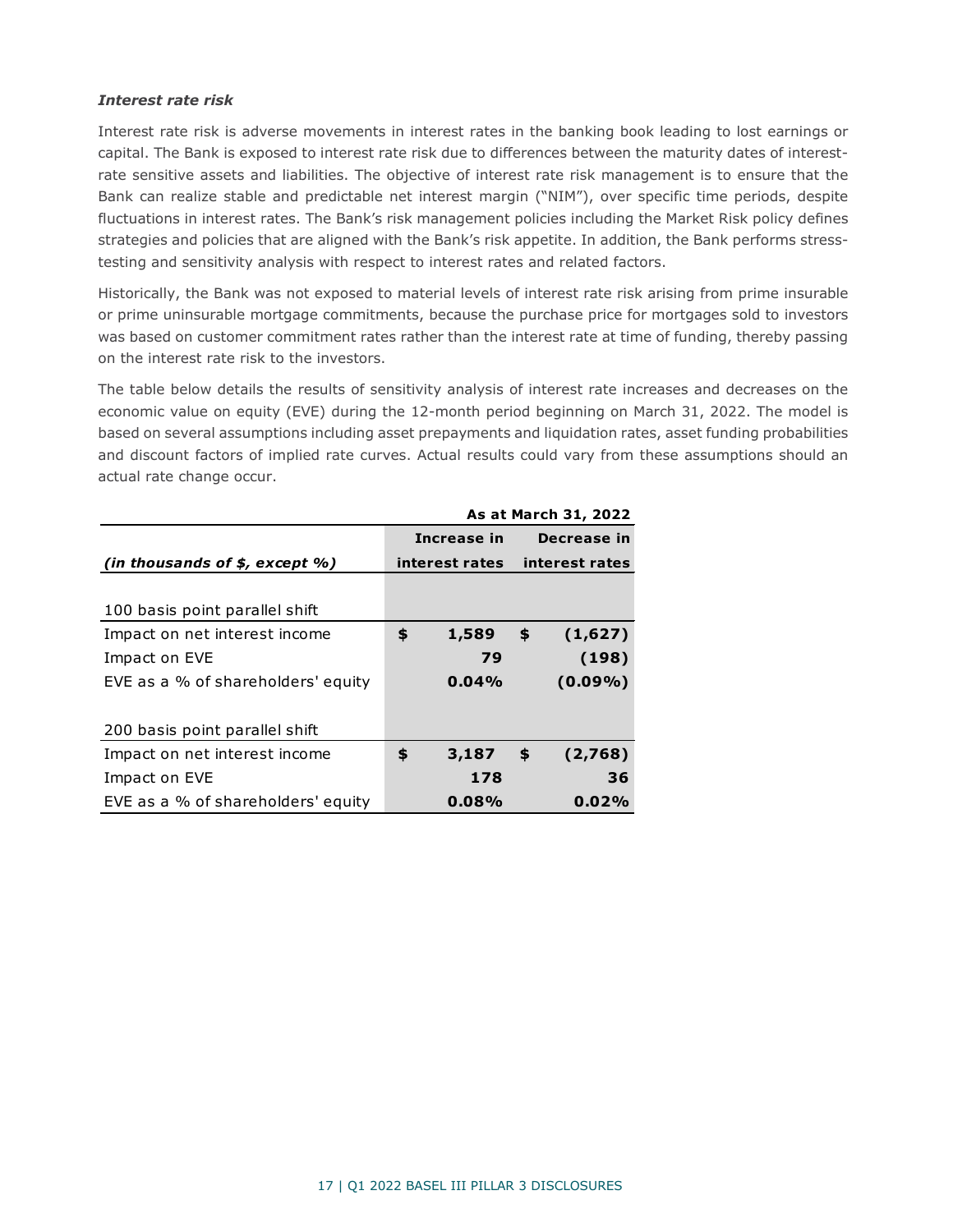#### *Interest rate risk*

Interest rate risk is adverse movements in interest rates in the banking book leading to lost earnings or capital. The Bank is exposed to interest rate risk due to differences between the maturity dates of interestrate sensitive assets and liabilities. The objective of interest rate risk management is to ensure that the Bank can realize stable and predictable net interest margin ("NIM"), over specific time periods, despite fluctuations in interest rates. The Bank's risk management policies including the Market Risk policy defines strategies and policies that are aligned with the Bank's risk appetite. In addition, the Bank performs stresstesting and sensitivity analysis with respect to interest rates and related factors.

Historically, the Bank was not exposed to material levels of interest rate risk arising from prime insurable or prime uninsurable mortgage commitments, because the purchase price for mortgages sold to investors was based on customer commitment rates rather than the interest rate at time of funding, thereby passing on the interest rate risk to the investors.

The table below details the results of sensitivity analysis of interest rate increases and decreases on the economic value on equity (EVE) during the 12-month period beginning on March 31, 2022. The model is based on several assumptions including asset prepayments and liquidation rates, asset funding probabilities and discount factors of implied rate curves. Actual results could vary from these assumptions should an actual rate change occur.

|                                     | As at March 31, 2022 |             |    |                               |  |  |  |
|-------------------------------------|----------------------|-------------|----|-------------------------------|--|--|--|
|                                     |                      | Increase in |    | Decrease in                   |  |  |  |
| (in thousands of $$$ , except $%$ ) |                      |             |    | interest rates interest rates |  |  |  |
|                                     |                      |             |    |                               |  |  |  |
| 100 basis point parallel shift      |                      |             |    |                               |  |  |  |
| Impact on net interest income       | \$                   | 1,589       | \$ | (1,627)                       |  |  |  |
| Impact on EVE                       |                      | 79          |    | (198)                         |  |  |  |
| EVE as a % of shareholders' equity  |                      | 0.04%       |    | $(0.09\%)$                    |  |  |  |
|                                     |                      |             |    |                               |  |  |  |
| 200 basis point parallel shift      |                      |             |    |                               |  |  |  |
| Impact on net interest income       | \$                   | 3,187       | \$ | (2,768)                       |  |  |  |
| Impact on EVE                       |                      | 178         |    | 36                            |  |  |  |
| EVE as a % of shareholders' equity  |                      | 0.08%       |    | 0.02%                         |  |  |  |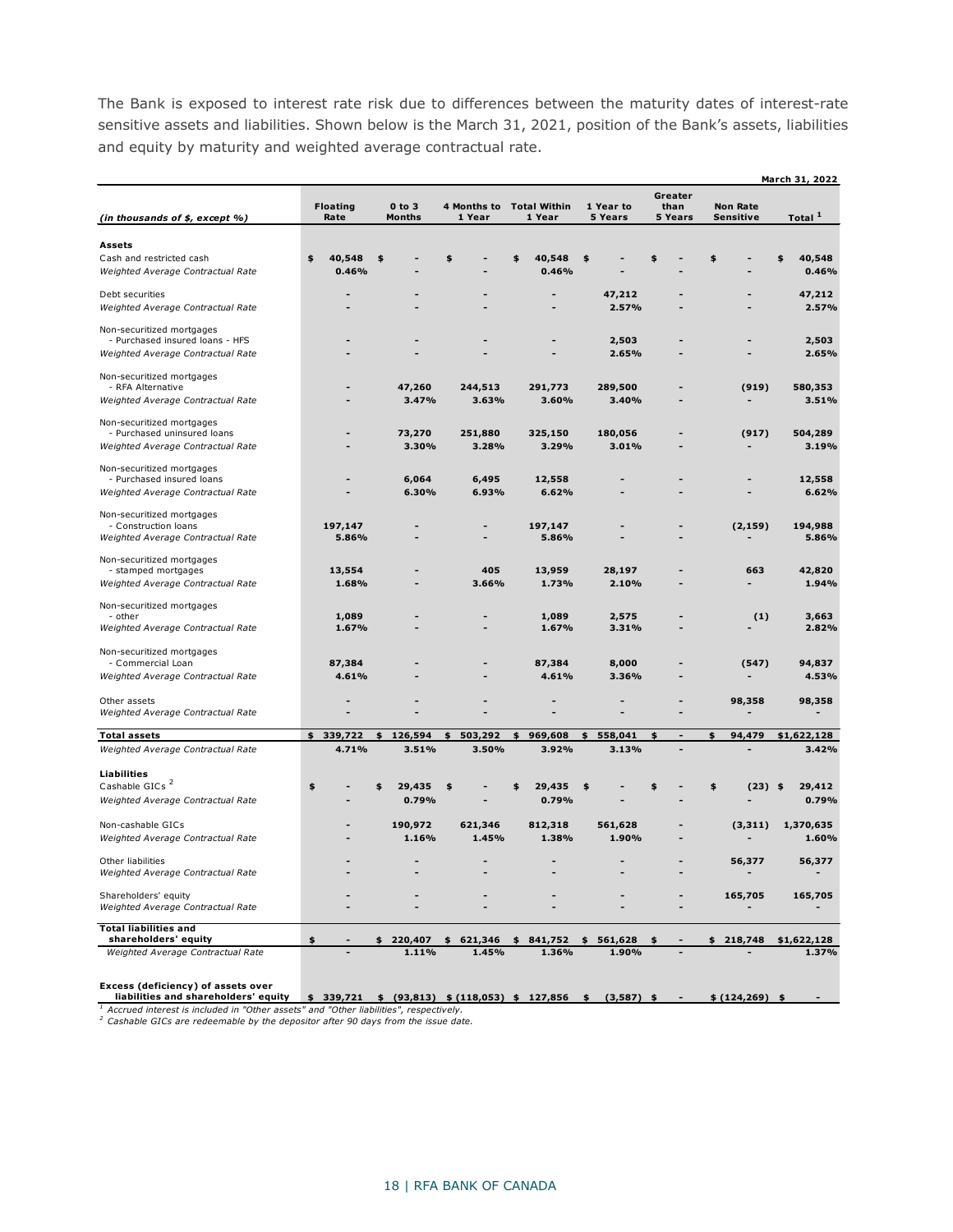The Bank is exposed to interest rate risk due to differences between the maturity dates of interest-rate sensitive assets and liabilities. Shown below is the March 31, 2021, position of the Bank's assets, liabilities and equity by maturity and weighted average contractual rate.

|                                                                                                                                                                                                     |                         |                 |                             |                        |                                               |                        |                            |                              | March 31, 2022        |
|-----------------------------------------------------------------------------------------------------------------------------------------------------------------------------------------------------|-------------------------|-----------------|-----------------------------|------------------------|-----------------------------------------------|------------------------|----------------------------|------------------------------|-----------------------|
| (in thousands of \$, except %)                                                                                                                                                                      | <b>Floating</b><br>Rate |                 | $0$ to $3$<br><b>Months</b> | 4 Months to<br>1 Year  | <b>Total Within</b><br>1 Year                 | 1 Year to<br>5 Years   | Greater<br>than<br>5 Years | <b>Non Rate</b><br>Sensitive | Total <sup>1</sup>    |
|                                                                                                                                                                                                     |                         |                 |                             |                        |                                               |                        |                            |                              |                       |
| Assets<br>Cash and restricted cash<br>Weighted Average Contractual Rate                                                                                                                             | \$                      | 40,548<br>0.46% | \$                          |                        | 40,548<br>s<br>0.46%                          | \$                     | \$                         | \$                           | 40,548<br>\$<br>0.46% |
| Debt securities<br>Weighted Average Contractual Rate                                                                                                                                                |                         |                 |                             |                        |                                               | 47,212<br>2.57%        |                            |                              | 47,212<br>2.57%       |
| Non-securitized mortgages<br>- Purchased insured loans - HFS                                                                                                                                        |                         |                 |                             |                        |                                               | 2,503                  |                            |                              | 2,503                 |
| Weighted Average Contractual Rate                                                                                                                                                                   |                         |                 |                             |                        |                                               | 2.65%                  |                            |                              | 2.65%                 |
| Non-securitized mortgages<br>- RFA Alternative                                                                                                                                                      |                         |                 | 47,260                      | 244,513                | 291,773                                       | 289,500                |                            | (919)                        | 580,353               |
| Weighted Average Contractual Rate                                                                                                                                                                   |                         |                 | 3.47%                       | 3.63%                  | 3.60%                                         | 3.40%                  |                            |                              | 3.51%                 |
| Non-securitized mortgages<br>- Purchased uninsured loans                                                                                                                                            |                         |                 | 73,270                      | 251,880                | 325,150                                       | 180,056                |                            | (917)                        | 504,289               |
| Weighted Average Contractual Rate                                                                                                                                                                   |                         |                 | 3.30%                       | 3.28%                  | 3.29%                                         | 3.01%                  |                            |                              | 3.19%                 |
| Non-securitized mortgages<br>- Purchased insured loans                                                                                                                                              |                         |                 | 6,064                       | 6,495                  | 12,558                                        |                        |                            |                              | 12,558                |
| Weighted Average Contractual Rate                                                                                                                                                                   |                         |                 | 6.30%                       | 6.93%                  | 6.62%                                         |                        |                            |                              | 6.62%                 |
| Non-securitized mortgages<br>- Construction loans<br>Weighted Average Contractual Rate                                                                                                              | 197,147                 | 5.86%           |                             |                        | 197,147<br>5.86%                              |                        |                            | (2, 159)                     | 194,988<br>5.86%      |
| Non-securitized mortgages                                                                                                                                                                           |                         |                 |                             |                        |                                               |                        |                            |                              |                       |
| - stamped mortgages<br>Weighted Average Contractual Rate                                                                                                                                            |                         | 13,554<br>1.68% |                             | 405<br>3.66%           | 13,959<br>1.73%                               | 28,197<br>2.10%        |                            | 663                          | 42,820<br>1.94%       |
| Non-securitized mortgages                                                                                                                                                                           |                         |                 |                             |                        |                                               |                        |                            |                              |                       |
| - other<br>Weighted Average Contractual Rate                                                                                                                                                        |                         | 1,089<br>1.67%  |                             |                        | 1,089<br>1.67%                                | 2,575<br>3.31%         |                            | (1)                          | 3,663<br>2.82%        |
| Non-securitized mortgages                                                                                                                                                                           |                         |                 |                             |                        |                                               |                        |                            |                              |                       |
| - Commercial Loan<br>Weighted Average Contractual Rate                                                                                                                                              |                         | 87,384<br>4.61% |                             |                        | 87,384<br>4.61%                               | 8,000<br>3.36%         |                            | (547)                        | 94,837<br>4.53%       |
| Other assets                                                                                                                                                                                        |                         |                 |                             |                        |                                               |                        |                            | 98,358                       | 98,358                |
| Weighted Average Contractual Rate                                                                                                                                                                   |                         |                 |                             |                        |                                               |                        |                            |                              |                       |
| <b>Total assets</b><br>Weighted Average Contractual Rate                                                                                                                                            | 339,722<br>\$           | 4.71%           | \$<br>126,594<br>3.51%      | \$<br>503,292<br>3.50% | \$<br>969,608<br>3.92%                        | \$<br>558,041<br>3.13% | \$<br>$\overline{a}$       | 94,479<br>\$                 | \$1,622,128<br>3.42%  |
|                                                                                                                                                                                                     |                         |                 |                             |                        |                                               |                        |                            |                              |                       |
| <b>Liabilities</b><br>Cashable GICs <sup>2</sup>                                                                                                                                                    | \$                      |                 | \$<br>29,435                | \$                     | 29,435<br>\$                                  | \$                     | \$                         | \$<br>(23)                   | 29,412<br>- \$        |
| Weighted Average Contractual Rate                                                                                                                                                                   |                         |                 | 0.79%                       |                        | 0.79%                                         |                        |                            |                              | 0.79%                 |
| Non-cashable GICs                                                                                                                                                                                   |                         |                 | 190,972                     | 621,346                | 812,318                                       | 561,628                |                            | (3, 311)                     | 1,370,635             |
| Weighted Average Contractual Rate                                                                                                                                                                   |                         |                 | 1.16%                       | 1.45%                  | 1.38%                                         | 1.90%                  |                            |                              | 1.60%                 |
| Other liabilities<br>Weighted Average Contractual Rate                                                                                                                                              |                         |                 |                             | -                      |                                               |                        |                            | 56,377                       | 56,377                |
| Shareholders' equity<br>Weighted Average Contractual Rate                                                                                                                                           |                         |                 |                             |                        |                                               |                        |                            | 165,705                      | 165,705               |
| <b>Total liabilities and</b>                                                                                                                                                                        |                         |                 |                             |                        |                                               |                        |                            |                              |                       |
| shareholders' equity<br>Weighted Average Contractual Rate                                                                                                                                           | \$                      |                 | \$220,407<br>1.11%          | \$<br>1.45%            | 621,346 \$ 841,752<br>1.36%                   | \$<br>561,628<br>1.90% |                            | \$218,748                    | \$1,622,128<br>1.37%  |
|                                                                                                                                                                                                     |                         |                 |                             |                        |                                               |                        |                            |                              |                       |
| Excess (deficiency) of assets over<br>liabilities and shareholders' equity                                                                                                                          |                         |                 |                             |                        | $$339,721$ $$ (93,813) $ (118,053) $ 127,856$ | \$ (3,587) \$          |                            | \$ (124, 269) \$             |                       |
| <sup>1</sup> Accrued interest is included in "Other assets" and "Other liabilities", respectively.<br><sup>2</sup> Cashable GICs are redeemable by the depositor after 90 days from the issue date. |                         |                 |                             |                        |                                               |                        |                            |                              |                       |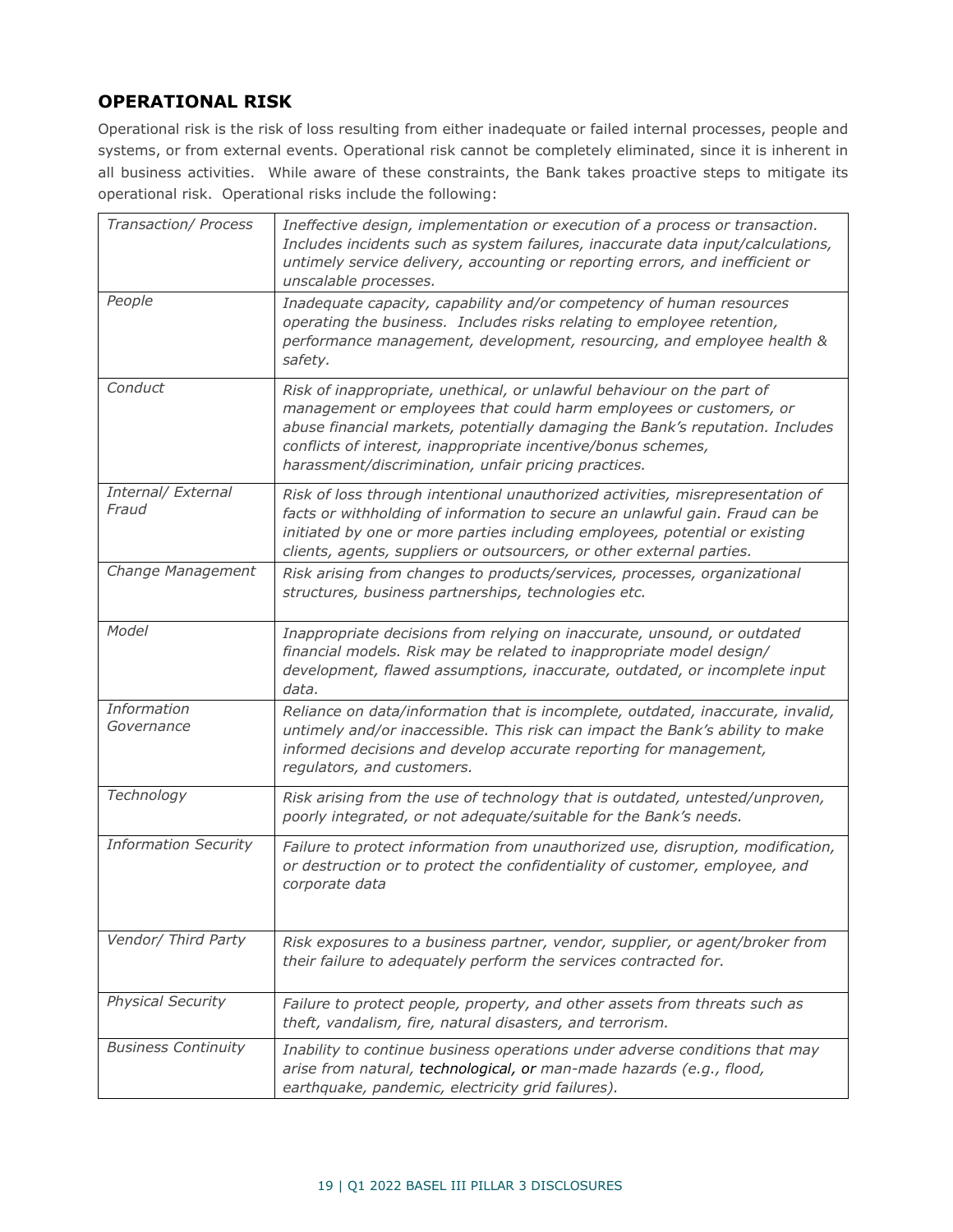## <span id="page-19-0"></span>**OPERATIONAL RISK**

Operational risk is the risk of loss resulting from either inadequate or failed internal processes, people and systems, or from external events. Operational risk cannot be completely eliminated, since it is inherent in all business activities. While aware of these constraints, the Bank takes proactive steps to mitigate its operational risk. Operational risks include the following:

| Transaction/ Process        | Ineffective design, implementation or execution of a process or transaction.<br>Includes incidents such as system failures, inaccurate data input/calculations,<br>untimely service delivery, accounting or reporting errors, and inefficient or<br>unscalable processes.                                                                              |
|-----------------------------|--------------------------------------------------------------------------------------------------------------------------------------------------------------------------------------------------------------------------------------------------------------------------------------------------------------------------------------------------------|
| People                      | Inadequate capacity, capability and/or competency of human resources<br>operating the business. Includes risks relating to employee retention,<br>performance management, development, resourcing, and employee health &<br>safety.                                                                                                                    |
| Conduct                     | Risk of inappropriate, unethical, or unlawful behaviour on the part of<br>management or employees that could harm employees or customers, or<br>abuse financial markets, potentially damaging the Bank's reputation. Includes<br>conflicts of interest, inappropriate incentive/bonus schemes,<br>harassment/discrimination, unfair pricing practices. |
| Internal/ External<br>Fraud | Risk of loss through intentional unauthorized activities, misrepresentation of<br>facts or withholding of information to secure an unlawful gain. Fraud can be<br>initiated by one or more parties including employees, potential or existing<br>clients, agents, suppliers or outsourcers, or other external parties.                                 |
| Change Management           | Risk arising from changes to products/services, processes, organizational<br>structures, business partnerships, technologies etc.                                                                                                                                                                                                                      |
| Model                       | Inappropriate decisions from relying on inaccurate, unsound, or outdated<br>financial models. Risk may be related to inappropriate model design/<br>development, flawed assumptions, inaccurate, outdated, or incomplete input<br>data.                                                                                                                |
| Information<br>Governance   | Reliance on data/information that is incomplete, outdated, inaccurate, invalid,<br>untimely and/or inaccessible. This risk can impact the Bank's ability to make<br>informed decisions and develop accurate reporting for management,<br>regulators, and customers.                                                                                    |
| Technology                  | Risk arising from the use of technology that is outdated, untested/unproven,<br>poorly integrated, or not adequate/suitable for the Bank's needs.                                                                                                                                                                                                      |
| <b>Information Security</b> | Failure to protect information from unauthorized use, disruption, modification,<br>or destruction or to protect the confidentiality of customer, employee, and<br>corporate data                                                                                                                                                                       |
| Vendor/ Third Party         | Risk exposures to a business partner, vendor, supplier, or agent/broker from<br>their failure to adequately perform the services contracted for.                                                                                                                                                                                                       |
| <b>Physical Security</b>    | Failure to protect people, property, and other assets from threats such as<br>theft, vandalism, fire, natural disasters, and terrorism.                                                                                                                                                                                                                |
| <b>Business Continuity</b>  | Inability to continue business operations under adverse conditions that may<br>arise from natural, technological, or man-made hazards (e.g., flood,<br>earthquake, pandemic, electricity grid failures).                                                                                                                                               |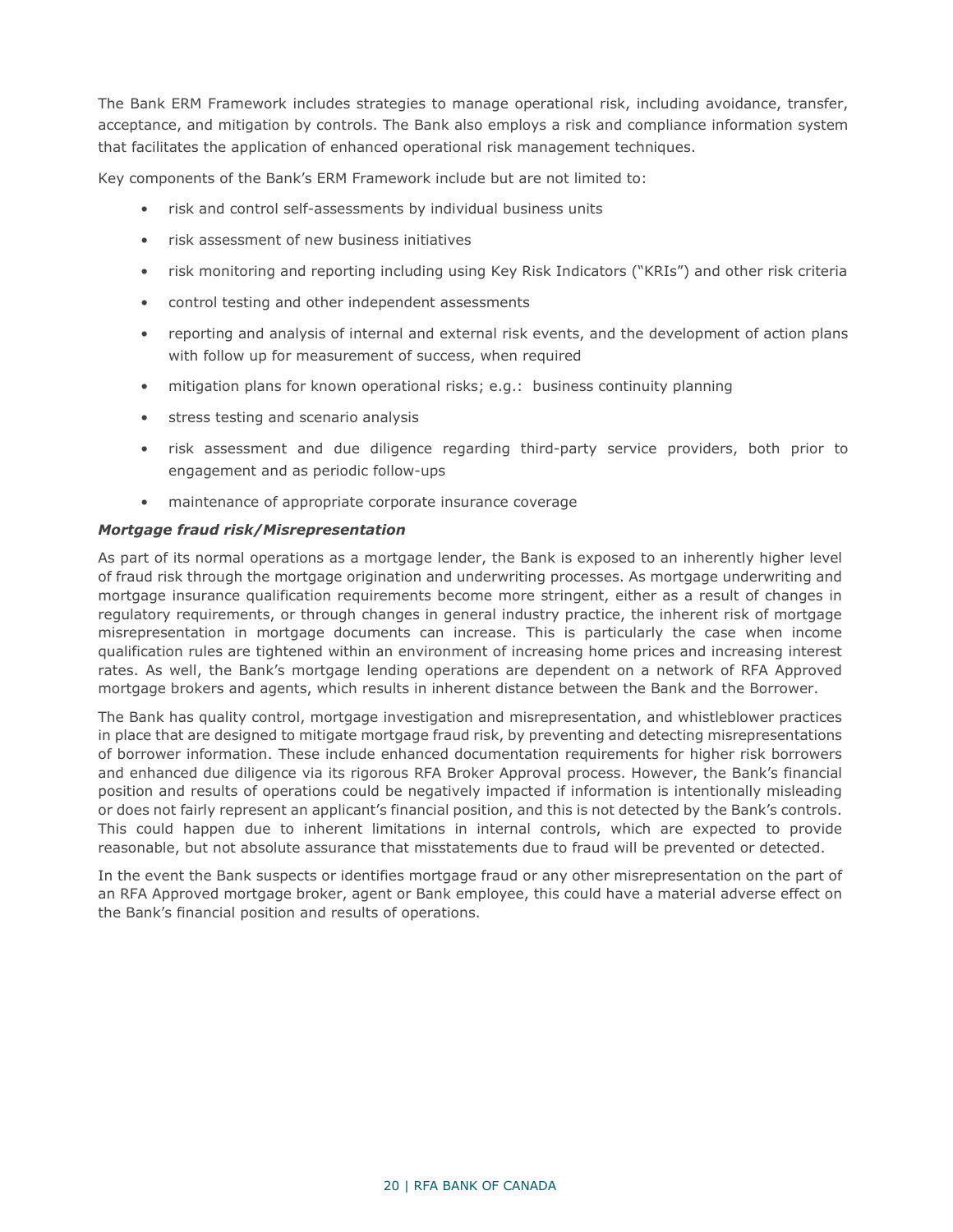The Bank ERM Framework includes strategies to manage operational risk, including avoidance, transfer, acceptance, and mitigation by controls. The Bank also employs a risk and compliance information system that facilitates the application of enhanced operational risk management techniques.

Key components of the Bank's ERM Framework include but are not limited to:

- risk and control self-assessments by individual business units
- risk assessment of new business initiatives
- risk monitoring and reporting including using Key Risk Indicators ("KRIs") and other risk criteria
- control testing and other independent assessments
- reporting and analysis of internal and external risk events, and the development of action plans with follow up for measurement of success, when required
- mitigation plans for known operational risks; e.g.: business continuity planning
- stress testing and scenario analysis
- risk assessment and due diligence regarding third-party service providers, both prior to engagement and as periodic follow-ups
- maintenance of appropriate corporate insurance coverage

#### *Mortgage fraud risk/Misrepresentation*

As part of its normal operations as a mortgage lender, the Bank is exposed to an inherently higher level of fraud risk through the mortgage origination and underwriting processes. As mortgage underwriting and mortgage insurance qualification requirements become more stringent, either as a result of changes in regulatory requirements, or through changes in general industry practice, the inherent risk of mortgage misrepresentation in mortgage documents can increase. This is particularly the case when income qualification rules are tightened within an environment of increasing home prices and increasing interest rates. As well, the Bank's mortgage lending operations are dependent on a network of RFA Approved mortgage brokers and agents, which results in inherent distance between the Bank and the Borrower.

The Bank has quality control, mortgage investigation and misrepresentation, and whistleblower practices in place that are designed to mitigate mortgage fraud risk, by preventing and detecting misrepresentations of borrower information. These include enhanced documentation requirements for higher risk borrowers and enhanced due diligence via its rigorous RFA Broker Approval process. However, the Bank's financial position and results of operations could be negatively impacted if information is intentionally misleading or does not fairly represent an applicant's financial position, and this is not detected by the Bank's controls. This could happen due to inherent limitations in internal controls, which are expected to provide reasonable, but not absolute assurance that misstatements due to fraud will be prevented or detected.

In the event the Bank suspects or identifies mortgage fraud or any other misrepresentation on the part of an RFA Approved mortgage broker, agent or Bank employee, this could have a material adverse effect on the Bank's financial position and results of operations.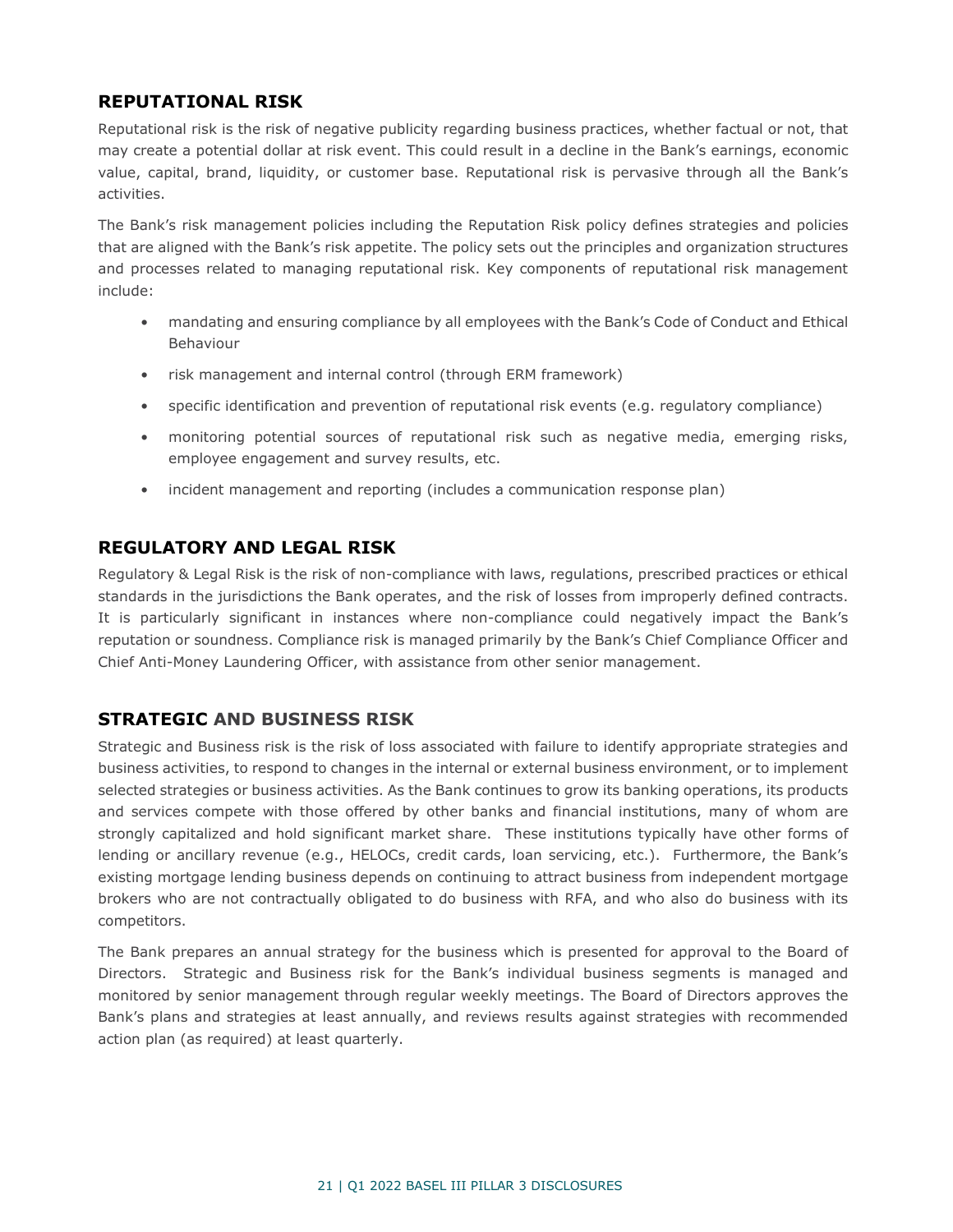## <span id="page-21-0"></span>**REPUTATIONAL RISK**

Reputational risk is the risk of negative publicity regarding business practices, whether factual or not, that may create a potential dollar at risk event. This could result in a decline in the Bank's earnings, economic value, capital, brand, liquidity, or customer base. Reputational risk is pervasive through all the Bank's activities.

The Bank's risk management policies including the Reputation Risk policy defines strategies and policies that are aligned with the Bank's risk appetite. The policy sets out the principles and organization structures and processes related to managing reputational risk. Key components of reputational risk management include:

- mandating and ensuring compliance by all employees with the Bank's Code of Conduct and Ethical Behaviour
- risk management and internal control (through ERM framework)
- specific identification and prevention of reputational risk events (e.g. regulatory compliance)
- monitoring potential sources of reputational risk such as negative media, emerging risks, employee engagement and survey results, etc.
- incident management and reporting (includes a communication response plan)

### <span id="page-21-1"></span>**REGULATORY AND LEGAL RISK**

Regulatory & Legal Risk is the risk of non-compliance with laws, regulations, prescribed practices or ethical standards in the jurisdictions the Bank operates, and the risk of losses from improperly defined contracts. It is particularly significant in instances where non-compliance could negatively impact the Bank's reputation or soundness. Compliance risk is managed primarily by the Bank's Chief Compliance Officer and Chief Anti-Money Laundering Officer, with assistance from other senior management.

### <span id="page-21-2"></span>**STRATEGIC AND BUSINESS RISK**

Strategic and Business risk is the risk of loss associated with failure to identify appropriate strategies and business activities, to respond to changes in the internal or external business environment, or to implement selected strategies or business activities. As the Bank continues to grow its banking operations, its products and services compete with those offered by other banks and financial institutions, many of whom are strongly capitalized and hold significant market share. These institutions typically have other forms of lending or ancillary revenue (e.g., HELOCs, credit cards, loan servicing, etc.). Furthermore, the Bank's existing mortgage lending business depends on continuing to attract business from independent mortgage brokers who are not contractually obligated to do business with RFA, and who also do business with its competitors.

The Bank prepares an annual strategy for the business which is presented for approval to the Board of Directors. Strategic and Business risk for the Bank's individual business segments is managed and monitored by senior management through regular weekly meetings. The Board of Directors approves the Bank's plans and strategies at least annually, and reviews results against strategies with recommended action plan (as required) at least quarterly.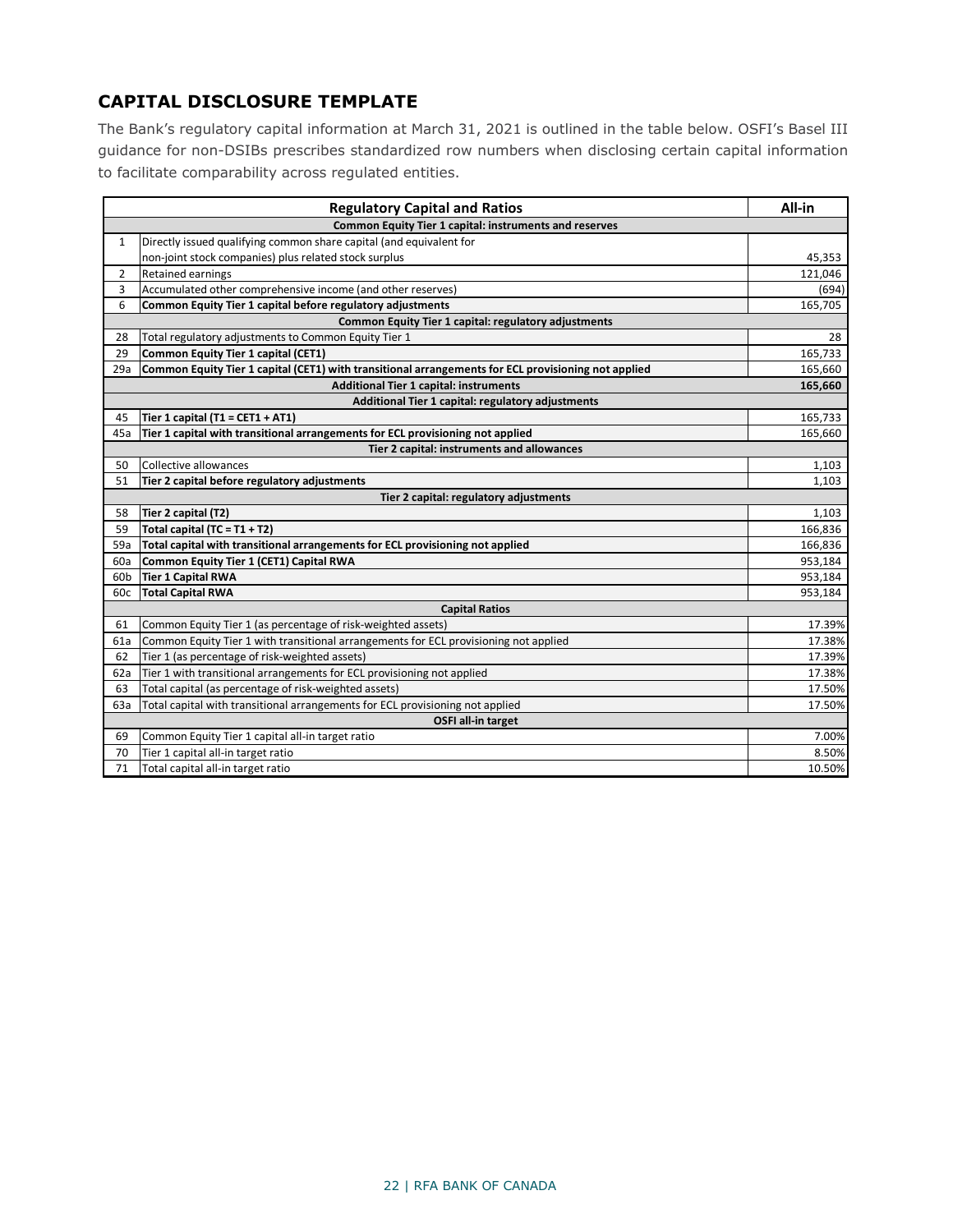## <span id="page-22-0"></span>**CAPITAL DISCLOSURE TEMPLATE**

The Bank's regulatory capital information at March 31, 2021 is outlined in the table below. OSFI's Basel III guidance for non-DSIBs prescribes standardized row numbers when disclosing certain capital information to facilitate comparability across regulated entities.

|     | <b>Regulatory Capital and Ratios</b>                                                                | All-in  |  |  |  |  |  |
|-----|-----------------------------------------------------------------------------------------------------|---------|--|--|--|--|--|
|     | Common Equity Tier 1 capital: instruments and reserves                                              |         |  |  |  |  |  |
| 1   | Directly issued qualifying common share capital (and equivalent for                                 |         |  |  |  |  |  |
|     | non-joint stock companies) plus related stock surplus                                               | 45,353  |  |  |  |  |  |
| 2   | <b>Retained earnings</b>                                                                            | 121,046 |  |  |  |  |  |
| 3   | Accumulated other comprehensive income (and other reserves)                                         | (694)   |  |  |  |  |  |
| 6   | Common Equity Tier 1 capital before regulatory adjustments                                          | 165,705 |  |  |  |  |  |
|     | Common Equity Tier 1 capital: regulatory adjustments                                                |         |  |  |  |  |  |
| 28  | Total regulatory adjustments to Common Equity Tier 1                                                | 28      |  |  |  |  |  |
| 29  | Common Equity Tier 1 capital (CET1)                                                                 | 165,733 |  |  |  |  |  |
| 29a | Common Equity Tier 1 capital (CET1) with transitional arrangements for ECL provisioning not applied | 165,660 |  |  |  |  |  |
|     | <b>Additional Tier 1 capital: instruments</b>                                                       | 165,660 |  |  |  |  |  |
|     | Additional Tier 1 capital: regulatory adjustments                                                   |         |  |  |  |  |  |
| 45  | Tier 1 capital (T1 = CET1 + AT1)                                                                    | 165,733 |  |  |  |  |  |
| 45a | Tier 1 capital with transitional arrangements for ECL provisioning not applied                      | 165,660 |  |  |  |  |  |
|     | Tier 2 capital: instruments and allowances                                                          |         |  |  |  |  |  |
| 50  | Collective allowances                                                                               | 1,103   |  |  |  |  |  |
| 51  | Tier 2 capital before regulatory adjustments                                                        | 1,103   |  |  |  |  |  |
|     | Tier 2 capital: regulatory adjustments                                                              |         |  |  |  |  |  |
| 58  | Tier 2 capital (T2)                                                                                 | 1,103   |  |  |  |  |  |
| 59  | Total capital (TC = T1 + T2)                                                                        | 166,836 |  |  |  |  |  |
| 59a | Total capital with transitional arrangements for ECL provisioning not applied                       | 166,836 |  |  |  |  |  |
| 60a | Common Equity Tier 1 (CET1) Capital RWA                                                             | 953,184 |  |  |  |  |  |
| 60b | Tier 1 Capital RWA                                                                                  | 953,184 |  |  |  |  |  |
| 60c | <b>Total Capital RWA</b>                                                                            | 953,184 |  |  |  |  |  |
|     | <b>Capital Ratios</b>                                                                               |         |  |  |  |  |  |
| 61  | Common Equity Tier 1 (as percentage of risk-weighted assets)                                        | 17.39%  |  |  |  |  |  |
| 61a | Common Equity Tier 1 with transitional arrangements for ECL provisioning not applied                | 17.38%  |  |  |  |  |  |
| 62  | Tier 1 (as percentage of risk-weighted assets)                                                      | 17.39%  |  |  |  |  |  |
| 62a | Tier 1 with transitional arrangements for ECL provisioning not applied                              | 17.38%  |  |  |  |  |  |
| 63  | Total capital (as percentage of risk-weighted assets)                                               | 17.50%  |  |  |  |  |  |
| 63a | Total capital with transitional arrangements for ECL provisioning not applied                       | 17.50%  |  |  |  |  |  |
|     | OSFI all-in target                                                                                  |         |  |  |  |  |  |
| 69  | Common Equity Tier 1 capital all-in target ratio                                                    | 7.00%   |  |  |  |  |  |
| 70  | Tier 1 capital all-in target ratio                                                                  | 8.50%   |  |  |  |  |  |
| 71  | Total capital all-in target ratio                                                                   | 10.50%  |  |  |  |  |  |